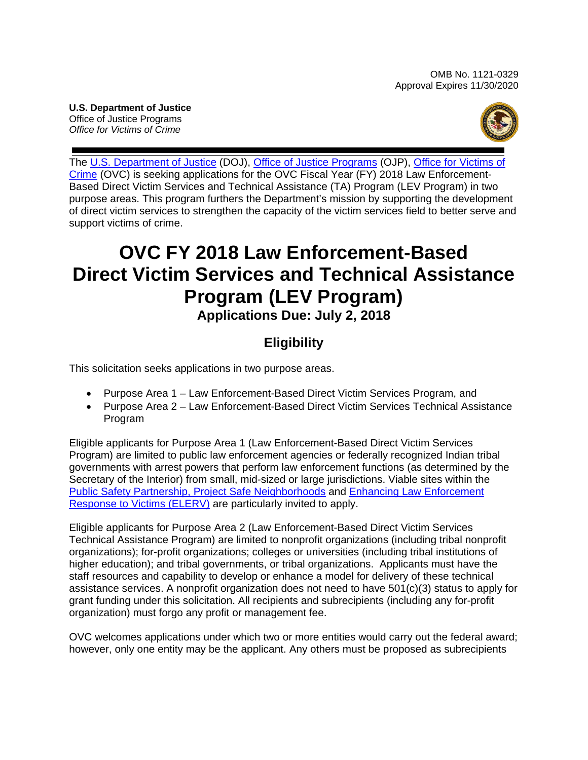**U.S. Department of Justice** Office of Justice Programs  *Office for Victims of Crime* 



 The [U.S. Department of Justice](https://www.usdoj.gov/) (DOJ), [Office of Justice Programs](https://ojp.gov/) (OJP), [Office for Victims of](http://www.ovc.gov/)  purpose areas. This program furthers the Department's mission by supporting the development [Crime](http://www.ovc.gov/) (OVC) is seeking applications for the OVC Fiscal Year (FY) 2018 Law Enforcement-Based Direct Victim Services and Technical Assistance (TA) Program (LEV Program) in two of direct victim services to strengthen the capacity of the victim services field to better serve and support victims of crime.

# **OVC FY 2018 Law Enforcement-Based Direct Victim Services and Technical Assistance**   **Program (LEV Program) Applications Due: July 2, 2018**

## **Eligibility**

This solicitation seeks applications in two purpose areas.

- Purpose Area 1 Law Enforcement-Based Direct Victim Services Program, and
- Purpose Area 2 Law Enforcement-Based Direct Victim Services Technical Assistance Program

 Program) are limited to public law enforcement agencies or federally recognized Indian tribal Eligible applicants for Purpose Area 1 (Law Enforcement-Based Direct Victim Services governments with arrest powers that perform law enforcement functions (as determined by the Secretary of the Interior) from small, mid-sized or large jurisdictions. Viable sites within the [Public Safety Partnership,](https://www.nationalpublicsafetypartnership.org/) [Project Safe Neighborhoods](https://www.bja.gov/programdetails.aspx?program_id=74) and [Enhancing Law Enforcement](http://www.theiacp.org/Victim-Response)  [Response to Victims \(ELERV\)](http://www.theiacp.org/Victim-Response) are particularly invited to apply.

Eligible applicants for Purpose Area 2 (Law Enforcement-Based Direct Victim Services Technical Assistance Program) are limited to nonprofit organizations (including tribal nonprofit organizations); for-profit organizations; colleges or universities (including tribal institutions of higher education); and tribal governments, or tribal organizations. Applicants must have the staff resources and capability to develop or enhance a model for delivery of these technical assistance services. A nonprofit organization does not need to have 501(c)(3) status to apply for grant funding under this solicitation. All recipients and subrecipients (including any for-profit organization) must forgo any profit or management fee.

 OVC welcomes applications under which two or more entities would carry out the federal award; however, only one entity may be the applicant. Any others must be proposed as subrecipients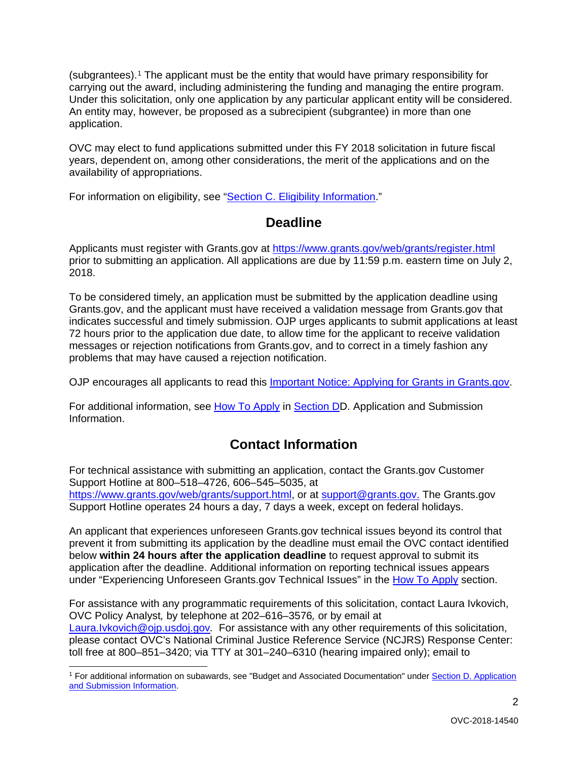(subgrantees).[1](#page-1-0) The applicant must be the entity that would have primary responsibility for carrying out the award, including administering the funding and managing the entire program. Under this solicitation, only one application by any particular applicant entity will be considered. An entity may, however, be proposed as a subrecipient (subgrantee) in more than one application.

OVC may elect to fund applications submitted under this FY 2018 solicitation in future fiscal years, dependent on, among other considerations, the merit of the applications and on the availability of appropriations.

For information on eligibility, see ["Section C. Eligibility Information.](#page-13-0)"

### **Deadline**

 prior to submitting an application. All applications are due by 11:59 p.m. eastern time on July 2, Applicants must register with Grants.gov at<https://www.grants.gov/web/grants/register.html> 2018.

To be considered timely, an application must be submitted by the application deadline using Grants.gov, and the applicant must have received a validation message from Grants.gov that indicates successful and timely submission. OJP urges applicants to submit applications at least 72 hours prior to the application due date, to allow time for the applicant to receive validation messages or rejection notifications from Grants.gov, and to correct in a timely fashion any problems that may have caused a rejection notification.

OJP encourages all applicants to read this [Important Notice: Applying for Grants in Grants.gov.](https://ojp.gov/funding/Apply/Grants-govInfo.htm)

For additional information, see [How To Apply](#page-26-0) in Section DD. Application and Submission [Information.](#page-14-0)

### **Contact Information**

 [https://www.grants.gov/web/grants/support.html,](https://www.grants.gov/web/grants/support.html) or at [support@grants.gov.](mailto:support@grants.gov) The Grants.gov For technical assistance with submitting an application, contact the Grants.gov Customer Support Hotline at 800–518–4726, 606–545–5035, at Support Hotline operates 24 hours a day, 7 days a week, except on federal holidays.

 prevent it from submitting its application by the deadline must email the OVC contact identified An applicant that experiences unforeseen Grants.gov technical issues beyond its control that below **within 24 hours after the application deadline** to request approval to submit its application after the deadline. Additional information on reporting technical issues appears under "Experiencing Unforeseen Grants.gov Technical Issues" in the [How To Apply](#page-26-0) section.

 OVC Policy Analyst*,* by telephone at 202–616–3576*,* or by email at  [Laura.Ivkovich@ojp.usdoj.gov](mailto:Laura.Ivkovich@ojp.usdoj.gov)*.* For assistance with any other requirements of this solicitation, For assistance with any programmatic requirements of this solicitation, contact Laura Ivkovich, please contact OVC's National Criminal Justice Reference Service (NCJRS) Response Center: toll free at 800–851–3420; via TTY at 301–240–6310 (hearing impaired only); email to

<span id="page-1-0"></span> $\overline{a}$ <sup>1</sup> For additional information on subawards, see "Budget and Associated Documentation" under Section D. Application [and Submission Information.](#page-14-0)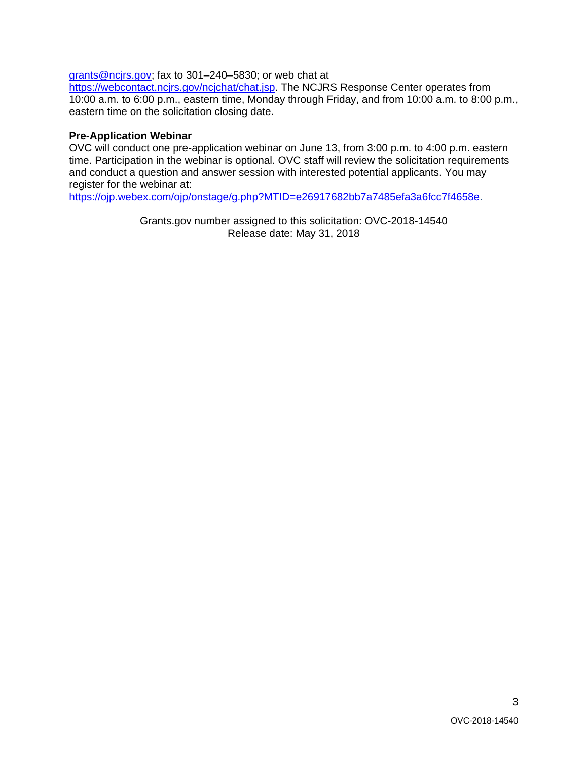[grants@ncjrs.gov;](mailto:grants@ncjrs.gov) fax to 301–240–5830; or web chat at

 10:00 a.m. to 6:00 p.m., eastern time, Monday through Friday, and from 10:00 a.m. to 8:00 p.m., [https://webcontact.ncjrs.gov/ncjchat/chat.jsp.](https://webcontact.ncjrs.gov/ncjchat/chat.jsp) The NCJRS Response Center operates from eastern time on the solicitation closing date.

#### **Pre-Application Webinar**

OVC will conduct one pre-application webinar on June 13, from 3:00 p.m. to 4:00 p.m. eastern time. Participation in the webinar is optional. OVC staff will review the solicitation requirements and conduct a question and answer session with interested potential applicants. You may register for the webinar at:

[https://ojp.webex.com/ojp/onstage/g.php?MTID=e26917682bb7a7485efa3a6fcc7f4658e.](https://ojp.webex.com/ojp/onstage/g.php?MTID=e26917682bb7a7485efa3a6fcc7f4658e)

Grants.gov number assigned to this solicitation: OVC-2018-14540 Release date: May 31, 2018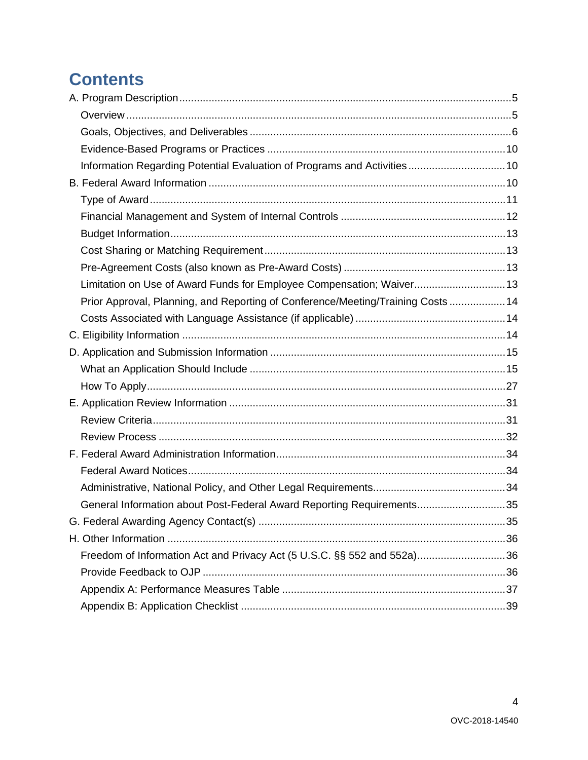# **Contents**

| Limitation on Use of Award Funds for Employee Compensation; Waiver 13            |  |
|----------------------------------------------------------------------------------|--|
| Prior Approval, Planning, and Reporting of Conference/Meeting/Training Costs  14 |  |
|                                                                                  |  |
|                                                                                  |  |
|                                                                                  |  |
|                                                                                  |  |
|                                                                                  |  |
|                                                                                  |  |
|                                                                                  |  |
|                                                                                  |  |
|                                                                                  |  |
|                                                                                  |  |
|                                                                                  |  |
| General Information about Post-Federal Award Reporting Requirements35            |  |
|                                                                                  |  |
|                                                                                  |  |
| Freedom of Information Act and Privacy Act (5 U.S.C. §§ 552 and 552a)36          |  |
|                                                                                  |  |
|                                                                                  |  |
|                                                                                  |  |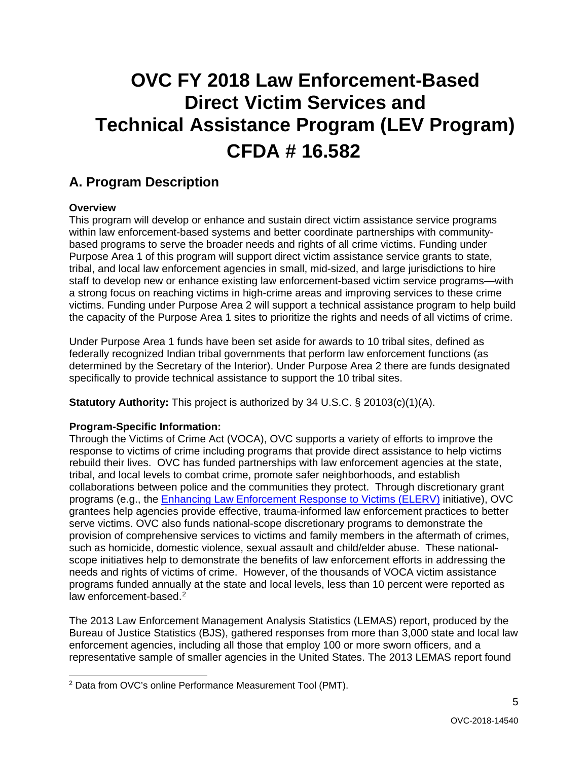# **OVC FY 2018 Law Enforcement-Based Direct Victim Services and Technical Assistance Program (LEV Program) CFDA # 16.582**

### <span id="page-4-0"></span>**A. Program Description**

#### <span id="page-4-1"></span>**Overview**

 This program will develop or enhance and sustain direct victim assistance service programs tribal, and local law enforcement agencies in small, mid-sized, and large jurisdictions to hire a strong focus on reaching victims in high-crime areas and improving services to these crime the capacity of the Purpose Area 1 sites to prioritize the rights and needs of all victims of crime. within law enforcement-based systems and better coordinate partnerships with communitybased programs to serve the broader needs and rights of all crime victims. Funding under Purpose Area 1 of this program will support direct victim assistance service grants to state, staff to develop new or enhance existing law enforcement-based victim service programs—with victims. Funding under Purpose Area 2 will support a technical assistance program to help build

Under Purpose Area 1 funds have been set aside for awards to 10 tribal sites, defined as federally recognized Indian tribal governments that perform law enforcement functions (as determined by the Secretary of the Interior). Under Purpose Area 2 there are funds designated specifically to provide technical assistance to support the 10 tribal sites.

**Statutory Authority:** This project is authorized by 34 U.S.C. § 20103(c)(1)(A).

#### **Program-Specific Information:**

 rebuild their lives. OVC has funded partnerships with law enforcement agencies at the state, programs (e.g., the <u>Enhancing Law Enforcement Response to Victims (ELERV)</u> initiative), OVC programs funded annually at the state and local levels, less than 10 percent were reported as law enforcement-based.<sup>2</sup> Through the Victims of Crime Act (VOCA), OVC supports a variety of efforts to improve the response to victims of crime including programs that provide direct assistance to help victims tribal, and local levels to combat crime, promote safer neighborhoods, and establish collaborations between police and the communities they protect. Through discretionary grant grantees help agencies provide effective, trauma-informed law enforcement practices to better serve victims. OVC also funds national-scope discretionary programs to demonstrate the provision of comprehensive services to victims and family members in the aftermath of crimes, such as homicide, domestic violence, sexual assault and child/elder abuse. These nationalscope initiatives help to demonstrate the benefits of law enforcement efforts in addressing the needs and rights of victims of crime. However, of the thousands of VOCA victim assistance

 Bureau of Justice Statistics (BJS), gathered responses from more than 3,000 state and local law representative sample of smaller agencies in the United States. The 2013 LEMAS report found The 2013 Law Enforcement Management Analysis Statistics (LEMAS) report, produced by the enforcement agencies, including all those that employ 100 or more sworn officers, and a

<span id="page-4-2"></span> $\overline{a}$ <sup>2</sup> Data from OVC's online Performance Measurement Tool (PMT).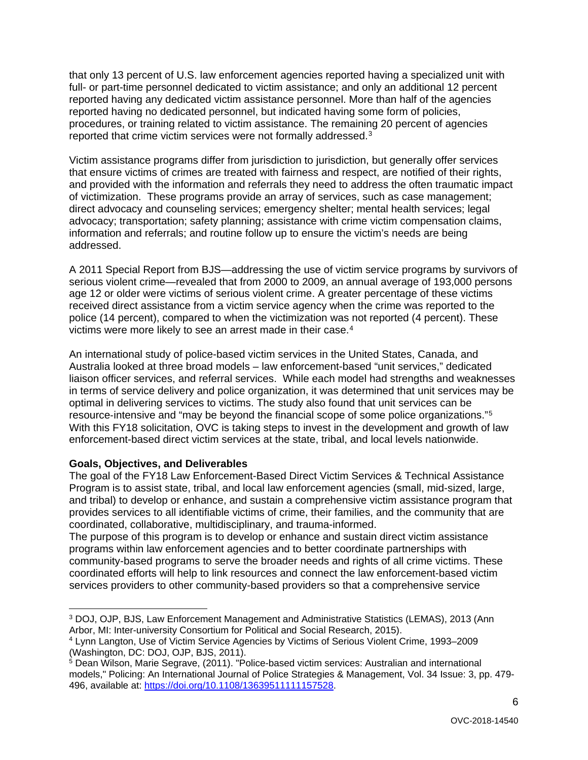that only 13 percent of U.S. law enforcement agencies reported having a specialized unit with full- or part-time personnel dedicated to victim assistance; and only an additional 12 percent reported having any dedicated victim assistance personnel. More than half of the agencies reported having no dedicated personnel, but indicated having some form of policies, procedures, or training related to victim assistance. The remaining 20 percent of agencies reported that crime victim services were not formally addressed.[3](#page-5-1) 

Victim assistance programs differ from jurisdiction to jurisdiction, but generally offer services that ensure victims of crimes are treated with fairness and respect, are notified of their rights, and provided with the information and referrals they need to address the often traumatic impact of victimization. These programs provide an array of services, such as case management; direct advocacy and counseling services; emergency shelter; mental health services; legal advocacy; transportation; safety planning; assistance with crime victim compensation claims, information and referrals; and routine follow up to ensure the victim's needs are being addressed.

A 2011 Special Report from BJS—addressing the use of victim service programs by survivors of serious violent crime—revealed that from 2000 to 2009, an annual average of 193,000 persons age 12 or older were victims of serious violent crime. A greater percentage of these victims received direct assistance from a victim service agency when the crime was reported to the police (14 percent), compared to when the victimization was not reported (4 percent). These victims were more likely to see an arrest made in their case.<sup>4</sup>

 resource-intensive and "may be beyond the financial scope of some police organizations."[5](#page-5-3) An international study of police-based victim services in the United States, Canada, and Australia looked at three broad models – law enforcement-based "unit services," dedicated liaison officer services, and referral services. While each model had strengths and weaknesses in terms of service delivery and police organization, it was determined that unit services may be optimal in delivering services to victims. The study also found that unit services can be With this FY18 solicitation, OVC is taking steps to invest in the development and growth of law enforcement-based direct victim services at the state, tribal, and local levels nationwide.

#### <span id="page-5-0"></span>**Goals, Objectives, and Deliverables**

 and tribal) to develop or enhance, and sustain a comprehensive victim assistance program that coordinated, collaborative, multidisciplinary, and trauma-informed. The goal of the FY18 Law Enforcement-Based Direct Victim Services & Technical Assistance Program is to assist state, tribal, and local law enforcement agencies (small, mid-sized, large, provides services to all identifiable victims of crime, their families, and the community that are

 programs within law enforcement agencies and to better coordinate partnerships with The purpose of this program is to develop or enhance and sustain direct victim assistance community-based programs to serve the broader needs and rights of all crime victims. These coordinated efforts will help to link resources and connect the law enforcement-based victim services providers to other community-based providers so that a comprehensive service

<span id="page-5-1"></span> $\overline{a}$  3 DOJ, OJP, BJS, Law Enforcement Management and Administrative Statistics (LEMAS), 2013 (Ann Arbor, MI: Inter-university Consortium for Political and Social Research, 2015).

<span id="page-5-2"></span> 4 Lynn Langton, Use of Victim Service Agencies by Victims of Serious Violent Crime, 1993–2009 (Washington, DC: DOJ, OJP, BJS, 2011).

<span id="page-5-3"></span><sup>&</sup>lt;sup>5</sup> Dean Wilson, Marie Segrave, (2011). "Police-based victim services: Australian and international models," Policing: An International Journal of Police Strategies & Management, Vol. 34 Issue: 3, pp. 479- 496, available at: [https://doi.org/10.1108/13639511111157528.](https://doi.org/10.1108/13639511111157528)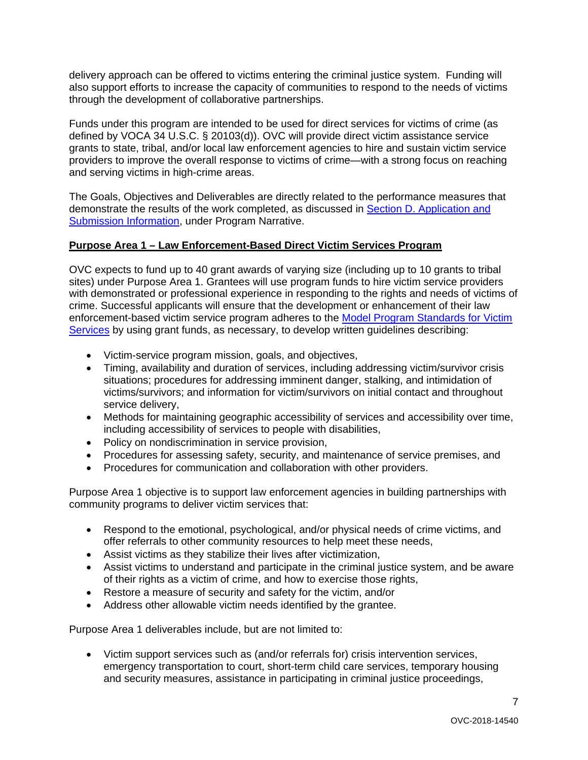delivery approach can be offered to victims entering the criminal justice system. Funding will also support efforts to increase the capacity of communities to respond to the needs of victims through the development of collaborative partnerships.

 grants to state, tribal, and/or local law enforcement agencies to hire and sustain victim service Funds under this program are intended to be used for direct services for victims of crime (as defined by VOCA 34 U.S.C. § 20103(d)). OVC will provide direct victim assistance service providers to improve the overall response to victims of crime—with a strong focus on reaching and serving victims in high-crime areas.

[Submission Information,](#page-14-0) under Program Narrative. The Goals, Objectives and Deliverables are directly related to the performance measures that demonstrate the results of the work completed, as discussed in [Section D. Application and](#page-14-0) 

#### **Purpose Area 1 – Law Enforcement-Based Direct Victim Services Program**

OVC expects to fund up to 40 grant awards of varying size (including up to 10 grants to tribal sites) under Purpose Area 1. Grantees will use program funds to hire victim service providers with demonstrated or professional experience in responding to the rights and needs of victims of crime. Successful applicants will ensure that the development or enhancement of their law enforcement-based victim service program adheres to the [Model Program Standards for Victim](https://www.ovc.gov/model-standards/program_standards_1.html)  [Services](https://www.ovc.gov/model-standards/program_standards_1.html) by using grant funds, as necessary, to develop written guidelines describing:

- Victim-service program mission, goals, and objectives,
- Timing, availability and duration of services, including addressing victim/survivor crisis situations; procedures for addressing imminent danger, stalking, and intimidation of victims/survivors; and information for victim/survivors on initial contact and throughout service delivery,
- Methods for maintaining geographic accessibility of services and accessibility over time, including accessibility of services to people with disabilities,
- Policy on nondiscrimination in service provision,
- Procedures for assessing safety, security, and maintenance of service premises, and
- Procedures for communication and collaboration with other providers.

 community programs to deliver victim services that: Purpose Area 1 objective is to support law enforcement agencies in building partnerships with

- Respond to the emotional, psychological, and/or physical needs of crime victims, and offer referrals to other community resources to help meet these needs,
- Assist victims as they stabilize their lives after victimization,
- Assist victims to understand and participate in the criminal justice system, and be aware of their rights as a victim of crime, and how to exercise those rights,
- Restore a measure of security and safety for the victim, and/or
- Address other allowable victim needs identified by the grantee.

Purpose Area 1 deliverables include, but are not limited to:

 • Victim support services such as (and/or referrals for) crisis intervention services, emergency transportation to court, short-term child care services, temporary housing and security measures, assistance in participating in criminal justice proceedings,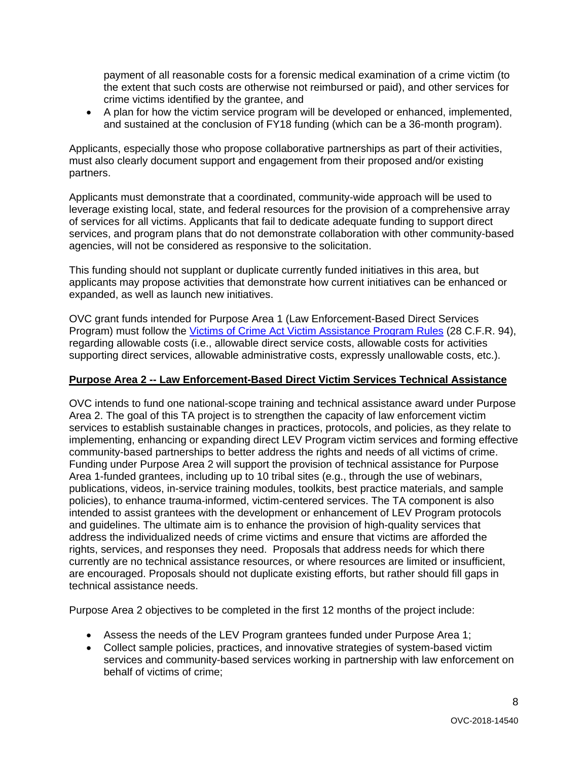crime victims identified by the grantee, and payment of all reasonable costs for a forensic medical examination of a crime victim (to the extent that such costs are otherwise not reimbursed or paid), and other services for

• A plan for how the victim service program will be developed or enhanced, implemented, and sustained at the conclusion of FY18 funding (which can be a 36-month program).

Applicants, especially those who propose collaborative partnerships as part of their activities, must also clearly document support and engagement from their proposed and/or existing partners.

Applicants must demonstrate that a coordinated, community-wide approach will be used to leverage existing local, state, and federal resources for the provision of a comprehensive array of services for all victims. Applicants that fail to dedicate adequate funding to support direct services, and program plans that do not demonstrate collaboration with other community-based agencies, will not be considered as responsive to the solicitation.

This funding should not supplant or duplicate currently funded initiatives in this area, but applicants may propose activities that demonstrate how current initiatives can be enhanced or expanded, as well as launch new initiatives.

Program) must follow the <u>Victims of Crime Act Victim Assistance Program Rules</u> (28 C.F.R. 94), supporting direct services, allowable administrative costs, expressly unallowable costs, etc.). OVC grant funds intended for Purpose Area 1 (Law Enforcement-Based Direct Services regarding allowable costs (i.e., allowable direct service costs, allowable costs for activities

#### **Purpose Area 2 -- Law Enforcement-Based Direct Victim Services Technical Assistance**

 policies), to enhance trauma-informed, victim-centered services. The TA component is also intended to assist grantees with the development or enhancement of LEV Program protocols OVC intends to fund one national-scope training and technical assistance award under Purpose Area 2. The goal of this TA project is to strengthen the capacity of law enforcement victim services to establish sustainable changes in practices, protocols, and policies, as they relate to implementing, enhancing or expanding direct LEV Program victim services and forming effective community-based partnerships to better address the rights and needs of all victims of crime. Funding under Purpose Area 2 will support the provision of technical assistance for Purpose Area 1-funded grantees, including up to 10 tribal sites (e.g., through the use of webinars, publications, videos, in-service training modules, toolkits, best practice materials, and sample and guidelines. The ultimate aim is to enhance the provision of high-quality services that address the individualized needs of crime victims and ensure that victims are afforded the rights, services, and responses they need. Proposals that address needs for which there currently are no technical assistance resources, or where resources are limited or insufficient, are encouraged. Proposals should not duplicate existing efforts, but rather should fill gaps in technical assistance needs.

Purpose Area 2 objectives to be completed in the first 12 months of the project include:

- Assess the needs of the LEV Program grantees funded under Purpose Area 1;
- Collect sample policies, practices, and innovative strategies of system-based victim services and community-based services working in partnership with law enforcement on behalf of victims of crime;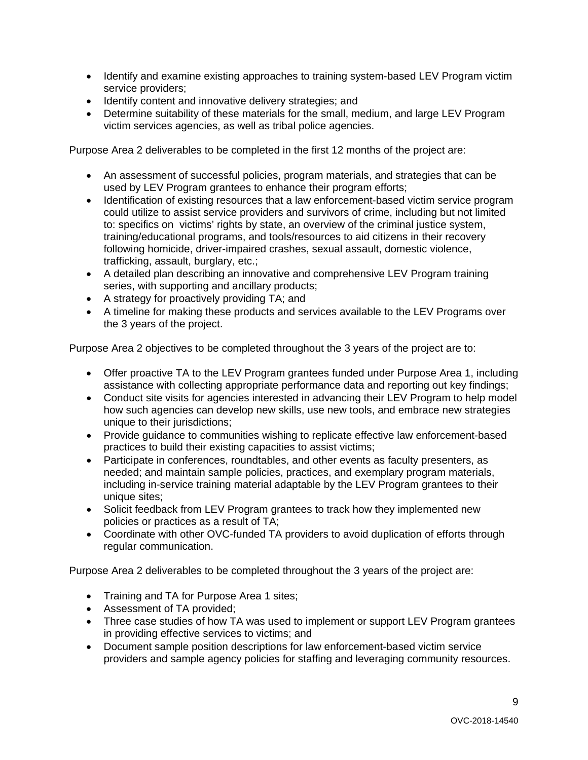- • Identify and examine existing approaches to training system-based LEV Program victim service providers;
- Identify content and innovative delivery strategies; and
- • Determine suitability of these materials for the small, medium, and large LEV Program victim services agencies, as well as tribal police agencies.

Purpose Area 2 deliverables to be completed in the first 12 months of the project are:

- used by LEV Program grantees to enhance their program efforts; • An assessment of successful policies, program materials, and strategies that can be
- to: specifics on victims' rights by state, an overview of the criminal justice system, • Identification of existing resources that a law enforcement-based victim service program could utilize to assist service providers and survivors of crime, including but not limited training/educational programs, and tools/resources to aid citizens in their recovery following homicide, driver-impaired crashes, sexual assault, domestic violence, trafficking, assault, burglary, etc.;
- A detailed plan describing an innovative and comprehensive LEV Program training series, with supporting and ancillary products;
- A strategy for proactively providing TA; and
- the 3 years of the project. • A timeline for making these products and services available to the LEV Programs over

Purpose Area 2 objectives to be completed throughout the 3 years of the project are to:

- • Offer proactive TA to the LEV Program grantees funded under Purpose Area 1, including assistance with collecting appropriate performance data and reporting out key findings;
- Conduct site visits for agencies interested in advancing their LEV Program to help model how such agencies can develop new skills, use new tools, and embrace new strategies unique to their jurisdictions;
- Provide guidance to communities wishing to replicate effective law enforcement-based practices to build their existing capacities to assist victims;
- including in-service training material adaptable by the LEV Program grantees to their • Participate in conferences, roundtables, and other events as faculty presenters, as needed; and maintain sample policies, practices, and exemplary program materials, unique sites;
- • Solicit feedback from LEV Program grantees to track how they implemented new policies or practices as a result of TA;
- Coordinate with other OVC-funded TA providers to avoid duplication of efforts through regular communication.

Purpose Area 2 deliverables to be completed throughout the 3 years of the project are:

- Training and TA for Purpose Area 1 sites;
- Assessment of TA provided;
- in providing effective services to victims; and • Three case studies of how TA was used to implement or support LEV Program grantees
- Document sample position descriptions for law enforcement-based victim service providers and sample agency policies for staffing and leveraging community resources.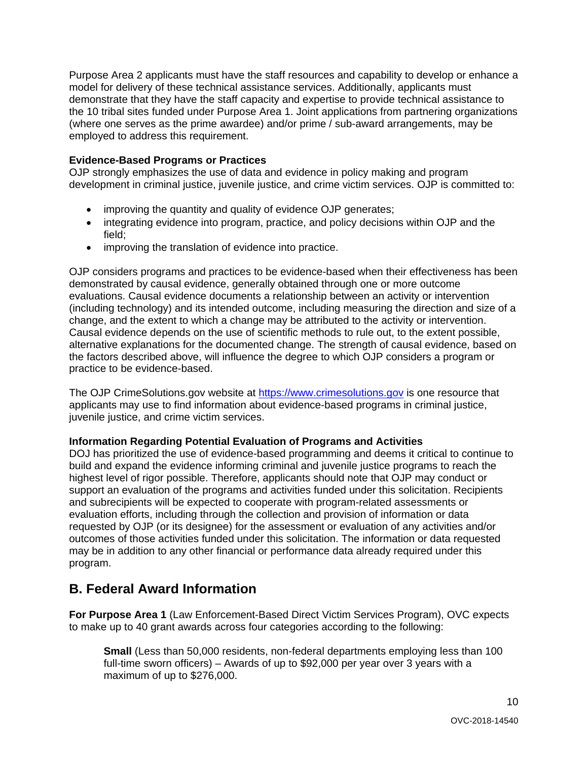Purpose Area 2 applicants must have the staff resources and capability to develop or enhance a model for delivery of these technical assistance services. Additionally, applicants must demonstrate that they have the staff capacity and expertise to provide technical assistance to the 10 tribal sites funded under Purpose Area 1. Joint applications from partnering organizations (where one serves as the prime awardee) and/or prime / sub-award arrangements, may be employed to address this requirement.

#### <span id="page-9-0"></span>**Evidence-Based Programs or Practices**

OJP strongly emphasizes the use of data and evidence in policy making and program development in criminal justice, juvenile justice, and crime victim services. OJP is committed to:

- improving the quantity and quality of evidence OJP generates;
- integrating evidence into program, practice, and policy decisions within OJP and the field;
- improving the translation of evidence into practice.

OJP considers programs and practices to be evidence-based when their effectiveness has been demonstrated by causal evidence, generally obtained through one or more outcome evaluations. Causal evidence documents a relationship between an activity or intervention (including technology) and its intended outcome, including measuring the direction and size of a change, and the extent to which a change may be attributed to the activity or intervention. Causal evidence depends on the use of scientific methods to rule out, to the extent possible, alternative explanations for the documented change. The strength of causal evidence, based on the factors described above, will influence the degree to which OJP considers a program or practice to be evidence-based.

The OJP CrimeSolutions.gov website at [https://www.crimesolutions.gov](https://www.crimesolutions.gov/) is one resource that applicants may use to find information about evidence-based programs in criminal justice, juvenile justice, and crime victim services.

#### <span id="page-9-1"></span>**Information Regarding Potential Evaluation of Programs and Activities**

 requested by OJP (or its designee) for the assessment or evaluation of any activities and/or DOJ has prioritized the use of evidence-based programming and deems it critical to continue to build and expand the evidence informing criminal and juvenile justice programs to reach the highest level of rigor possible. Therefore, applicants should note that OJP may conduct or support an evaluation of the programs and activities funded under this solicitation. Recipients and subrecipients will be expected to cooperate with program-related assessments or evaluation efforts, including through the collection and provision of information or data outcomes of those activities funded under this solicitation. The information or data requested may be in addition to any other financial or performance data already required under this program.

### <span id="page-9-2"></span>**B. Federal Award Information**

 to make up to 40 grant awards across four categories according to the following: **For Purpose Area 1** (Law Enforcement-Based Direct Victim Services Program), OVC expects

 full-time sworn officers) – Awards of up to \$92,000 per year over 3 years with a **Small** (Less than 50,000 residents, non-federal departments employing less than 100 maximum of up to \$276,000.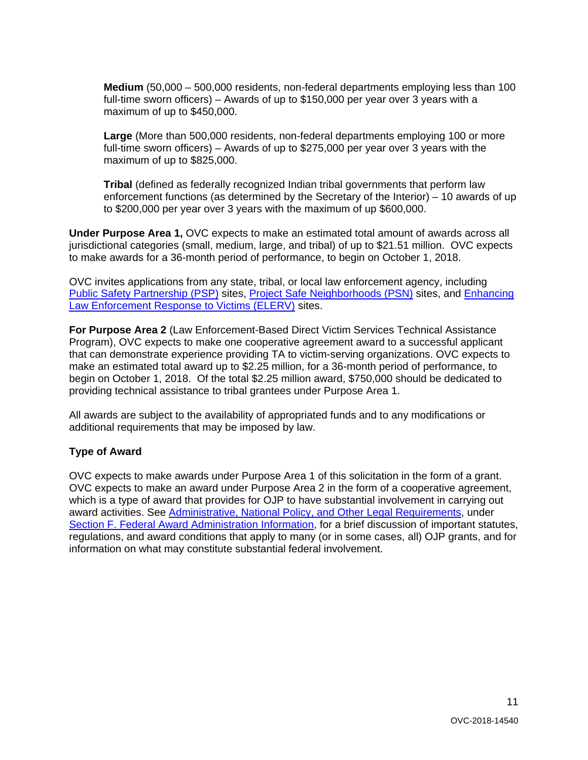**Medium** (50,000 – 500,000 residents, non-federal departments employing less than 100 maximum of up to \$450,000. full-time sworn officers) – Awards of up to \$150,000 per year over 3 years with a

 full-time sworn officers) – Awards of up to \$275,000 per year over 3 years with the **Large** (More than 500,000 residents, non-federal departments employing 100 or more maximum of up to \$825,000.

**Tribal** (defined as federally recognized Indian tribal governments that perform law enforcement functions (as determined by the Secretary of the Interior) – 10 awards of up to \$200,000 per year over 3 years with the maximum of up \$600,000.

to make awards for a 36-month period of performance, to begin on October 1, 2018. **Under Purpose Area 1,** OVC expects to make an estimated total amount of awards across all jurisdictional categories (small, medium, large, and tribal) of up to \$21.51 million. OVC expects

to make awards for a 36-month period of performance, to begin on October 1, 2018.<br>OVC invites applications from any state, tribal, or local law enforcement agency, including [Public Safety Partnership \(PSP\)](https://www.nationalpublicsafetypartnership.org/) sites, [Project Safe Neighborhoods \(PSN\)](https://www.bja.gov/programdetails.aspx?program_id=74) sites, and Enhancing [Law Enforcement Response to Victims \(ELERV\)](http://www.theiacp.org/Victim-Response) sites.

**For Purpose Area 2** (Law Enforcement-Based Direct Victim Services Technical Assistance Program), OVC expects to make one cooperative agreement award to a successful applicant that can demonstrate experience providing TA to victim-serving organizations. OVC expects to make an estimated total award up to \$2.25 million, for a 36-month period of performance, to begin on October 1, 2018. Of the total \$2.25 million award, \$750,000 should be dedicated to providing technical assistance to tribal grantees under Purpose Area 1.

All awards are subject to the availability of appropriated funds and to any modifications or additional requirements that may be imposed by law.

#### <span id="page-10-0"></span>**Type of Award**

OVC expects to make awards under Purpose Area 1 of this solicitation in the form of a grant. OVC expects to make an award under Purpose Area 2 in the form of a cooperative agreement, which is a type of award that provides for OJP to have substantial involvement in carrying out award activities. See [Administrative, National Policy, and Other Legal Requirements,](#page-33-0) under [Section F. Federal Award Administration Information,](#page-33-0) for a brief discussion of important statutes, regulations, and award conditions that apply to many (or in some cases, all) OJP grants, and for information on what may constitute substantial federal involvement.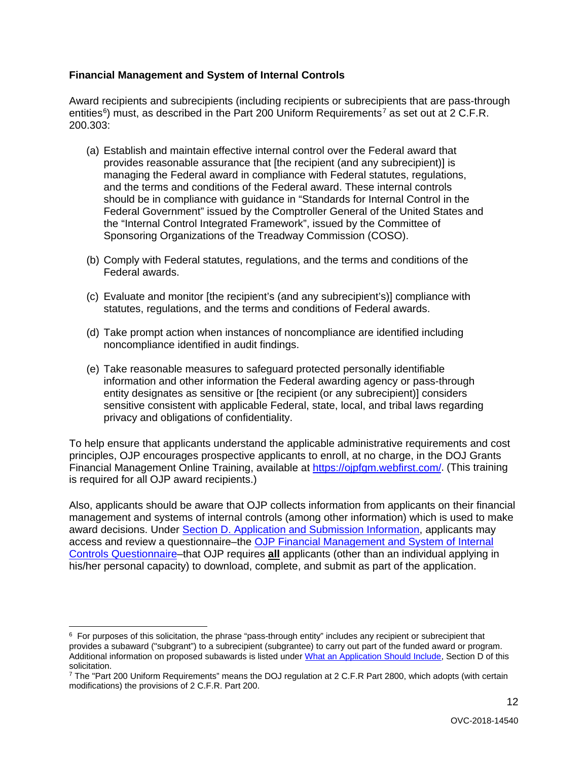#### <span id="page-11-0"></span>**Financial Management and System of Internal Controls**

 Award recipients and subrecipients (including recipients or subrecipients that are pass-through entities<sup>[6](#page-11-1)</sup>) must, as described in the Part 200 Uniform Requirements<sup>[7](#page-11-2)</sup> as set out at 2 C.F.R. 200.303:

- (a) Establish and maintain effective internal control over the Federal award that provides reasonable assurance that [the recipient (and any subrecipient)] is managing the Federal award in compliance with Federal statutes, regulations, and the terms and conditions of the Federal award. These internal controls should be in compliance with guidance in "Standards for Internal Control in the Federal Government" issued by the Comptroller General of the United States and the "Internal Control Integrated Framework", issued by the Committee of Sponsoring Organizations of the Treadway Commission (COSO).
- (b) Comply with Federal statutes, regulations, and the terms and conditions of the Federal awards.
- (c) Evaluate and monitor [the recipient's (and any subrecipient's)] compliance with statutes, regulations, and the terms and conditions of Federal awards.
- (d) Take prompt action when instances of noncompliance are identified including noncompliance identified in audit findings.
- sensitive consistent with applicable Federal, state, local, and tribal laws regarding (e) Take reasonable measures to safeguard protected personally identifiable information and other information the Federal awarding agency or pass-through entity designates as sensitive or [the recipient (or any subrecipient)] considers privacy and obligations of confidentiality.

Financial Management Online Training, available at [https://ojpfgm.webfirst.com/.](https://ojpfgm.webfirst.com/) (This training To help ensure that applicants understand the applicable administrative requirements and cost principles, OJP encourages prospective applicants to enroll, at no charge, in the DOJ Grants is required for all OJP award recipients.)

 Also, applicants should be aware that OJP collects information from applicants on their financial management and systems of internal controls (among other information) which is used to make award decisions. Under [Section D. Application and Submission Information,](#page-14-0) applicants may access and review a questionnaire–the [OJP Financial Management and System of Internal](https://ojp.gov/funding/Apply/Resources/FinancialCapability.pdf)  [Controls Questionnaire–](https://ojp.gov/funding/Apply/Resources/FinancialCapability.pdf)that OJP requires **all** applicants (other than an individual applying in his/her personal capacity) to download, complete, and submit as part of the application.

<span id="page-11-1"></span><sup>-</sup> $6$  For purposes of this solicitation, the phrase "pass-through entity" includes any recipient or subrecipient that provides a subaward ("subgrant") to a subrecipient (subgrantee) to carry out part of the funded award or program. Additional information on proposed subawards is listed unde[r What an Application Should Include,](#page-14-1) Section D of this solicitation.<br>7 The "Part 200 Uniform Requirements" means the DOJ regulation at 2 C.F.R Part 2800, which adopts (with certain

<span id="page-11-2"></span>modifications) the provisions of 2 C.F.R. Part 200.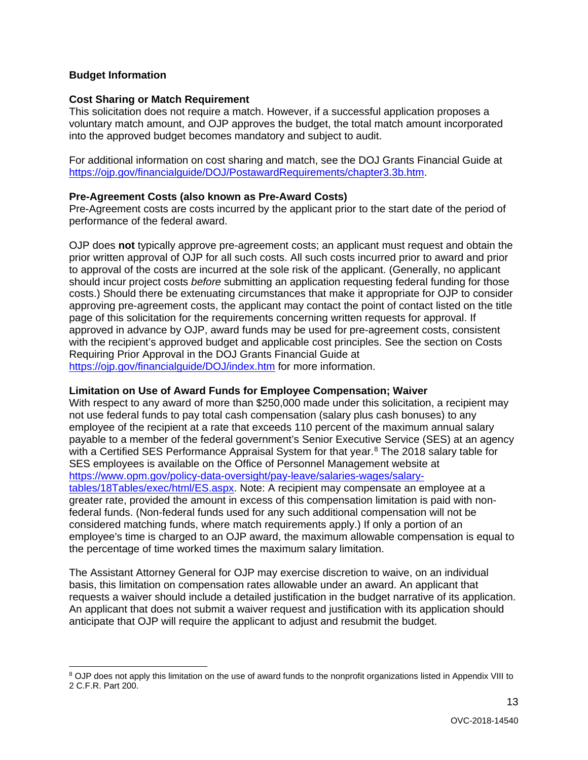#### <span id="page-12-0"></span>**Budget Information**

-

#### <span id="page-12-1"></span>**Cost Sharing or Match Requirement**

This solicitation does not require a match. However, if a successful application proposes a voluntary match amount, and OJP approves the budget, the total match amount incorporated into the approved budget becomes mandatory and subject to audit.

For additional information on cost sharing and match, see the DOJ Grants Financial Guide at [https://ojp.gov/financialguide/DOJ/PostawardRequirements/chapter3.3b.htm.](https://ojp.gov/financialguide/DOJ/PostawardRequirements/chapter3.3b.htm)

#### <span id="page-12-2"></span>**Pre-Agreement Costs (also known as Pre-Award Costs)**

performance of the federal award. Pre-Agreement costs are costs incurred by the applicant prior to the start date of the period of

 prior written approval of OJP for all such costs. All such costs incurred prior to award and prior OJP does **not** typically approve pre-agreement costs; an applicant must request and obtain the to approval of the costs are incurred at the sole risk of the applicant. (Generally, no applicant should incur project costs *before* submitting an application requesting federal funding for those costs.) Should there be extenuating circumstances that make it appropriate for OJP to consider approving pre-agreement costs, the applicant may contact the point of contact listed on the title page of this solicitation for the requirements concerning written requests for approval. If approved in advance by OJP, award funds may be used for pre-agreement costs, consistent with the recipient's approved budget and applicable cost principles. See the section on Costs Requiring Prior Approval in the DOJ Grants Financial Guide at <https://ojp.gov/financialguide/DOJ/index.htm>for more information.

#### <span id="page-12-3"></span>**Limitation on Use of Award Funds for Employee Compensation; Waiver**

 employee of the recipient at a rate that exceeds 110 percent of the maximum annual salary with a Certified SES Performance Appraisal System for that year.<sup>8</sup> The 201[8](#page-12-4) salary table for With respect to any award of more than \$250,000 made under this solicitation, a recipient may not use federal funds to pay total cash compensation (salary plus cash bonuses) to any payable to a member of the federal government's Senior Executive Service (SES) at an agency SES employees is available on the Office of Personnel Management website at [https://www.opm.gov/policy-data-oversight/pay-leave/salaries-wages/salary](https://www.opm.gov/policy-data-oversight/pay-leave/salaries-wages/salary-tables/18Tables/exec/html/ES.aspx)[tables/18Tables/exec/html/ES.aspx.](https://www.opm.gov/policy-data-oversight/pay-leave/salaries-wages/salary-tables/18Tables/exec/html/ES.aspx) Note: A recipient may compensate an employee at a greater rate, provided the amount in excess of this compensation limitation is paid with nonfederal funds. (Non-federal funds used for any such additional compensation will not be considered matching funds, where match requirements apply.) If only a portion of an employee's time is charged to an OJP award, the maximum allowable compensation is equal to the percentage of time worked times the maximum salary limitation.

The Assistant Attorney General for OJP may exercise discretion to waive, on an individual basis, this limitation on compensation rates allowable under an award. An applicant that requests a waiver should include a detailed justification in the budget narrative of its application. An applicant that does not submit a waiver request and justification with its application should anticipate that OJP will require the applicant to adjust and resubmit the budget.

<span id="page-12-4"></span><sup>&</sup>lt;sup>8</sup> OJP does not apply this limitation on the use of award funds to the nonprofit organizations listed in Appendix VIII to 2 C.F.R. Part 200.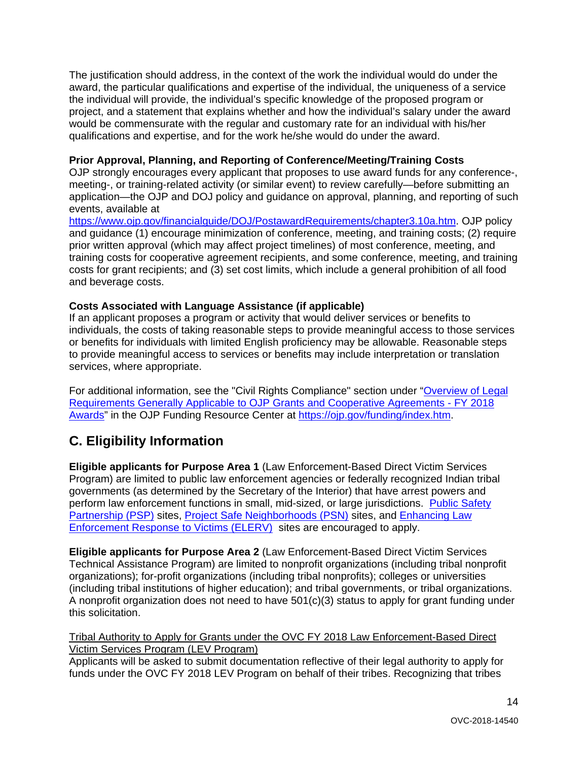The justification should address, in the context of the work the individual would do under the award, the particular qualifications and expertise of the individual, the uniqueness of a service the individual will provide, the individual's specific knowledge of the proposed program or project, and a statement that explains whether and how the individual's salary under the award would be commensurate with the regular and customary rate for an individual with his/her qualifications and expertise, and for the work he/she would do under the award.

#### <span id="page-13-1"></span>**Prior Approval, Planning, and Reporting of Conference/Meeting/Training Costs**

 application—the OJP and DOJ policy and guidance on approval, planning, and reporting of such OJP strongly encourages every applicant that proposes to use award funds for any conference-, meeting-, or training-related activity (or similar event) to review carefully—before submitting an events, available at

[https://www.ojp.gov/financialguide/DOJ/PostawardRequirements/chapter3.10a.htm.](https://www.ojp.gov/financialguide/doj/PostawardRequirements/chapter3.10a.htm) OJP policy and guidance (1) encourage minimization of conference, meeting, and training costs; (2) require prior written approval (which may affect project timelines) of most conference, meeting, and training costs for cooperative agreement recipients, and some conference, meeting, and training costs for grant recipients; and (3) set cost limits, which include a general prohibition of all food and beverage costs.

#### <span id="page-13-2"></span>**Costs Associated with Language Assistance (if applicable)**

If an applicant proposes a program or activity that would deliver services or benefits to individuals, the costs of taking reasonable steps to provide meaningful access to those services or benefits for individuals with limited English proficiency may be allowable. Reasonable steps to provide meaningful access to services or benefits may include interpretation or translation services, where appropriate.

 [Requirements Generally Applicable to OJP Grants and Cooperative Agreements -](https://ojp.gov/funding/Explore/LegalOverview/index.htm) FY 2018 [Awards"](https://ojp.gov/funding/Explore/LegalOverview/index.htm) in the OJP Funding Resource Center at [https://ojp.gov/funding/index.htm.](https://ojp.gov/funding/index.htm) For additional information, see the "Civil Rights Compliance" section under "Overview of Legal

### <span id="page-13-0"></span>**C. Eligibility Information**

[Partnership \(PSP\)](https://www.nationalpublicsafetypartnership.org/) sites, [Project Safe Neighborhoods \(PSN\)](https://www.bja.gov/programdetails.aspx?program_id=74) sites, and Enhancing Law **Enforcement Response to Victims (ELERV)** sites are encouraged to apply. **Eligible applicants for Purpose Area 1** (Law Enforcement-Based Direct Victim Services Program) are limited to public law enforcement agencies or federally recognized Indian tribal governments (as determined by the Secretary of the Interior) that have arrest powers and perform law enforcement functions in small, mid-sized, or large jurisdictions. [Public Safety](https://www.nationalpublicsafetypartnership.org/) 

**Eligible applicants for Purpose Area 2** (Law Enforcement-Based Direct Victim Services Technical Assistance Program) are limited to nonprofit organizations (including tribal nonprofit organizations); for-profit organizations (including tribal nonprofits); colleges or universities (including tribal institutions of higher education); and tribal governments, or tribal organizations. A nonprofit organization does not need to have 501(c)(3) status to apply for grant funding under this solicitation.

Tribal Authority to Apply for Grants under the OVC FY 2018 Law Enforcement-Based Direct Victim Services Program (LEV Program)

Applicants will be asked to submit documentation reflective of their legal authority to apply for funds under the OVC FY 2018 LEV Program on behalf of their tribes. Recognizing that tribes

14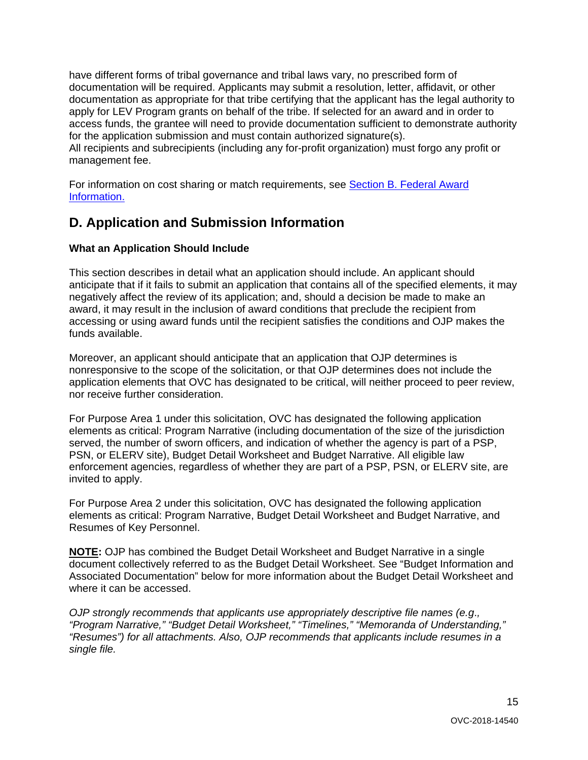have different forms of tribal governance and tribal laws vary, no prescribed form of documentation will be required. Applicants may submit a resolution, letter, affidavit, or other documentation as appropriate for that tribe certifying that the applicant has the legal authority to apply for LEV Program grants on behalf of the tribe. If selected for an award and in order to access funds, the grantee will need to provide documentation sufficient to demonstrate authority for the application submission and must contain authorized signature(s).

All recipients and subrecipients (including any for-profit organization) must forgo any profit or management fee.

For information on cost sharing or match requirements, see [Section B. Federal Award](#page-9-2)  [Information.](#page-9-2) 

### <span id="page-14-0"></span>**D. Application and Submission Information**

#### <span id="page-14-1"></span>**What an Application Should Include**

 anticipate that if it fails to submit an application that contains all of the specified elements, it may This section describes in detail what an application should include. An applicant should negatively affect the review of its application; and, should a decision be made to make an award, it may result in the inclusion of award conditions that preclude the recipient from accessing or using award funds until the recipient satisfies the conditions and OJP makes the funds available.

Moreover, an applicant should anticipate that an application that OJP determines is nonresponsive to the scope of the solicitation, or that OJP determines does not include the application elements that OVC has designated to be critical, will neither proceed to peer review, nor receive further consideration.

 PSN, or ELERV site), Budget Detail Worksheet and Budget Narrative. All eligible law For Purpose Area 1 under this solicitation, OVC has designated the following application elements as critical: Program Narrative (including documentation of the size of the jurisdiction served, the number of sworn officers, and indication of whether the agency is part of a PSP, enforcement agencies, regardless of whether they are part of a PSP, PSN, or ELERV site, are invited to apply.

 elements as critical: Program Narrative, Budget Detail Worksheet and Budget Narrative, and Resumes of Key Personnel. For Purpose Area 2 under this solicitation, OVC has designated the following application

**NOTE:** OJP has combined the Budget Detail Worksheet and Budget Narrative in a single document collectively referred to as the Budget Detail Worksheet. See "Budget Information and Associated Documentation" below for more information about the Budget Detail Worksheet and where it can be accessed.

*OJP strongly recommends that applicants use appropriately descriptive file names (e.g*.*, "Program Narrative," "Budget Detail Worksheet," "Timelines," "Memoranda of Understanding," "Resumes") for all attachments. Also, OJP recommends that applicants include resumes in a single file.*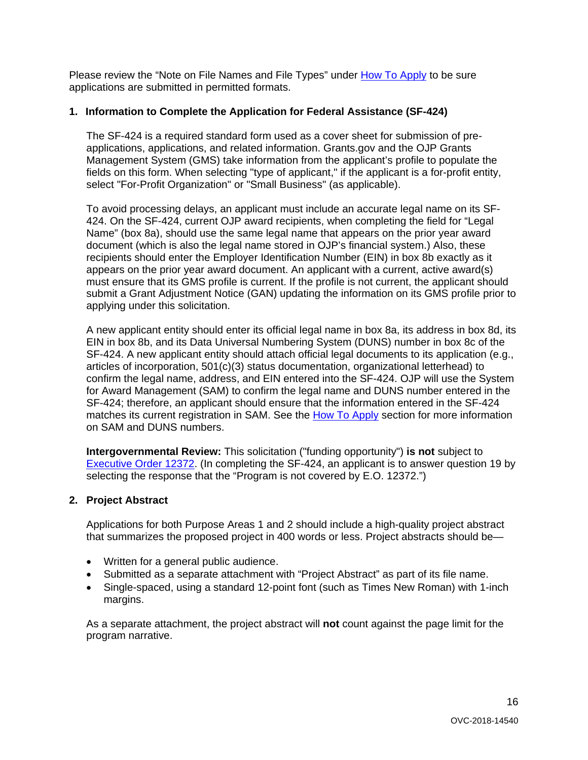Please review the "Note on File Names and File Types" under [How To Apply](#page-26-0) to be sure applications are submitted in permitted formats.

#### **1. Information to Complete the Application for Federal Assistance (SF-424)**

The SF-424 is a required standard form used as a cover sheet for submission of preapplications, applications, and related information. Grants.gov and the OJP Grants Management System (GMS) take information from the applicant's profile to populate the fields on this form. When selecting "type of applicant," if the applicant is a for-profit entity, select "For-Profit Organization" or "Small Business" (as applicable).

 Name" (box 8a), should use the same legal name that appears on the prior year award submit a Grant Adjustment Notice (GAN) updating the information on its GMS profile prior to To avoid processing delays, an applicant must include an accurate legal name on its SF-424. On the SF-424, current OJP award recipients, when completing the field for "Legal document (which is also the legal name stored in OJP's financial system.) Also, these recipients should enter the Employer Identification Number (EIN) in box 8b exactly as it appears on the prior year award document. An applicant with a current, active award(s) must ensure that its GMS profile is current. If the profile is not current, the applicant should applying under this solicitation.

 A new applicant entity should enter its official legal name in box 8a, its address in box 8d, its SF-424. A new applicant entity should attach official legal documents to its application (e.g., on SAM and DUNS numbers. EIN in box 8b, and its Data Universal Numbering System (DUNS) number in box 8c of the articles of incorporation, 501(c)(3) status documentation, organizational letterhead) to confirm the legal name, address, and EIN entered into the SF-424. OJP will use the System for Award Management (SAM) to confirm the legal name and DUNS number entered in the SF-424; therefore, an applicant should ensure that the information entered in the SF-424 matches its current registration in SAM. See the [How To Apply](#page-26-0) section for more information

 selecting the response that the "Program is not covered by E.O. 12372.") **Intergovernmental Review:** This solicitation ("funding opportunity") **is not** subject to [Executive Order 12372.](https://www.archives.gov/federal-register/codification/executive-order/12372.html) (In completing the SF-424, an applicant is to answer question 19 by

#### **2. Project Abstract**

Applications for both Purpose Areas 1 and 2 should include a high-quality project abstract that summarizes the proposed project in 400 words or less. Project abstracts should be—

- Written for a general public audience.
- Submitted as a separate attachment with "Project Abstract" as part of its file name.
- Single-spaced, using a standard 12-point font (such as Times New Roman) with 1-inch margins.

As a separate attachment, the project abstract will **not** count against the page limit for the program narrative.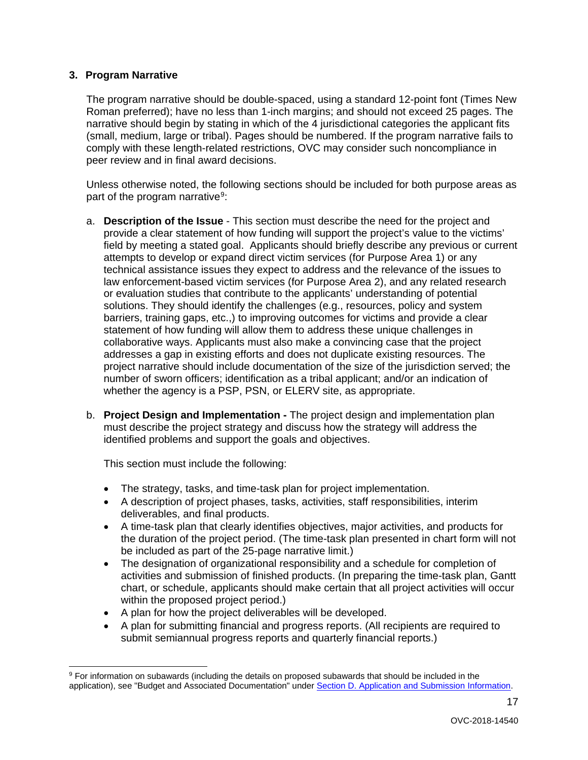#### **3. Program Narrative**

 peer review and in final award decisions. The program narrative should be double-spaced, using a standard 12-point font (Times New Roman preferred); have no less than 1-inch margins; and should not exceed 25 pages. The narrative should begin by stating in which of the 4 jurisdictional categories the applicant fits (small, medium, large or tribal). Pages should be numbered. If the program narrative fails to comply with these length-related restrictions, OVC may consider such noncompliance in

Unless otherwise noted, the following sections should be included for both purpose areas as part of the program narrative<sup>9</sup>:

- a. **Description of the Issue**  This section must describe the need for the project and provide a clear statement of how funding will support the project's value to the victims' field by meeting a stated goal. Applicants should briefly describe any previous or current attempts to develop or expand direct victim services (for Purpose Area 1) or any technical assistance issues they expect to address and the relevance of the issues to law enforcement-based victim services (for Purpose Area 2), and any related research or evaluation studies that contribute to the applicants' understanding of potential solutions. They should identify the challenges (e.g., resources, policy and system barriers, training gaps, etc.,) to improving outcomes for victims and provide a clear statement of how funding will allow them to address these unique challenges in collaborative ways. Applicants must also make a convincing case that the project addresses a gap in existing efforts and does not duplicate existing resources. The project narrative should include documentation of the size of the jurisdiction served; the number of sworn officers; identification as a tribal applicant; and/or an indication of whether the agency is a PSP, PSN, or ELERV site, as appropriate.
- b. **Project Design and Implementation -** The project design and implementation plan must describe the project strategy and discuss how the strategy will address the identified problems and support the goals and objectives.

This section must include the following:

- The strategy, tasks, and time-task plan for project implementation.
- A description of project phases, tasks, activities, staff responsibilities, interim deliverables, and final products.
- A time-task plan that clearly identifies objectives, major activities, and products for the duration of the project period. (The time-task plan presented in chart form will not be included as part of the 25-page narrative limit.)
- The designation of organizational responsibility and a schedule for completion of activities and submission of finished products. (In preparing the time-task plan, Gantt chart, or schedule, applicants should make certain that all project activities will occur within the proposed project period.)
- A plan for how the project deliverables will be developed.
- A plan for submitting financial and progress reports. (All recipients are required to submit semiannual progress reports and quarterly financial reports.)

<span id="page-16-0"></span> $\overline{a}$ 9 For information on subawards (including the details on proposed subawards that should be included in the application), see "Budget and Associated Documentation" under [Section D. Application and Submission Information.](#page-14-0)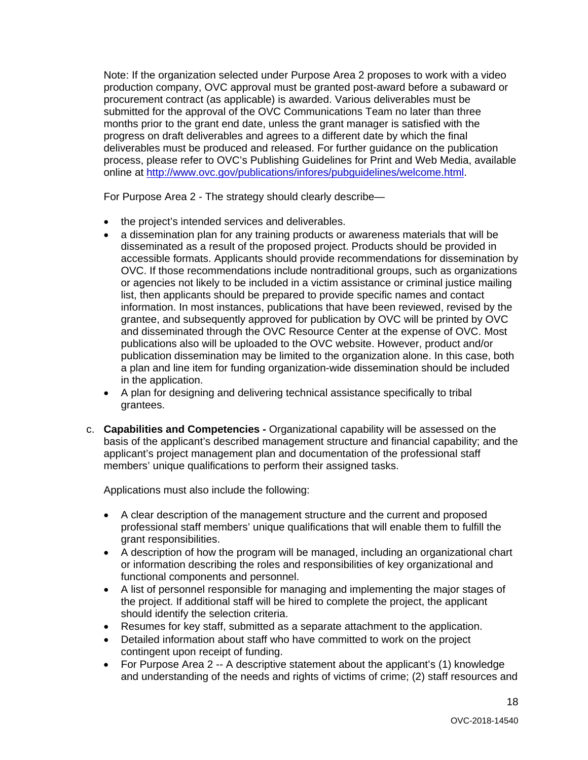online at <u>http://www.ovc.gov/publications/infores/pubguidelines/welcome.html</u>.<br>For Purpose Area 2 - The strategy should clearly describe— Note: If the organization selected under Purpose Area 2 proposes to work with a video production company, OVC approval must be granted post-award before a subaward or procurement contract (as applicable) is awarded. Various deliverables must be submitted for the approval of the OVC Communications Team no later than three months prior to the grant end date, unless the grant manager is satisfied with the progress on draft deliverables and agrees to a different date by which the final deliverables must be produced and released. For further guidance on the publication process, please refer to OVC's Publishing Guidelines for Print and Web Media, available

For Purpose Area 2 - The strategy should clearly describe-

- the project's intended services and deliverables.
- • a dissemination plan for any training products or awareness materials that will be disseminated as a result of the proposed project. Products should be provided in accessible formats. Applicants should provide recommendations for dissemination by OVC. If those recommendations include nontraditional groups, such as organizations or agencies not likely to be included in a victim assistance or criminal justice mailing list, then applicants should be prepared to provide specific names and contact information. In most instances, publications that have been reviewed, revised by the grantee, and subsequently approved for publication by OVC will be printed by OVC and disseminated through the OVC Resource Center at the expense of OVC. Most publications also will be uploaded to the OVC website. However, product and/or publication dissemination may be limited to the organization alone. In this case, both a plan and line item for funding organization-wide dissemination should be included in the application.
- A plan for designing and delivering technical assistance specifically to tribal grantees.
- c. **Capabilities and Competencies -** Organizational capability will be assessed on the basis of the applicant's described management structure and financial capability; and the applicant's project management plan and documentation of the professional staff members' unique qualifications to perform their assigned tasks.

Applications must also include the following:

- A clear description of the management structure and the current and proposed professional staff members' unique qualifications that will enable them to fulfill the grant responsibilities.
- A description of how the program will be managed, including an organizational chart or information describing the roles and responsibilities of key organizational and functional components and personnel.
- A list of personnel responsible for managing and implementing the major stages of the project. If additional staff will be hired to complete the project, the applicant should identify the selection criteria.
- Resumes for key staff, submitted as a separate attachment to the application.
- Detailed information about staff who have committed to work on the project contingent upon receipt of funding.
- and understanding of the needs and rights of victims of crime; (2) staff resources and • For Purpose Area 2 -- A descriptive statement about the applicant's (1) knowledge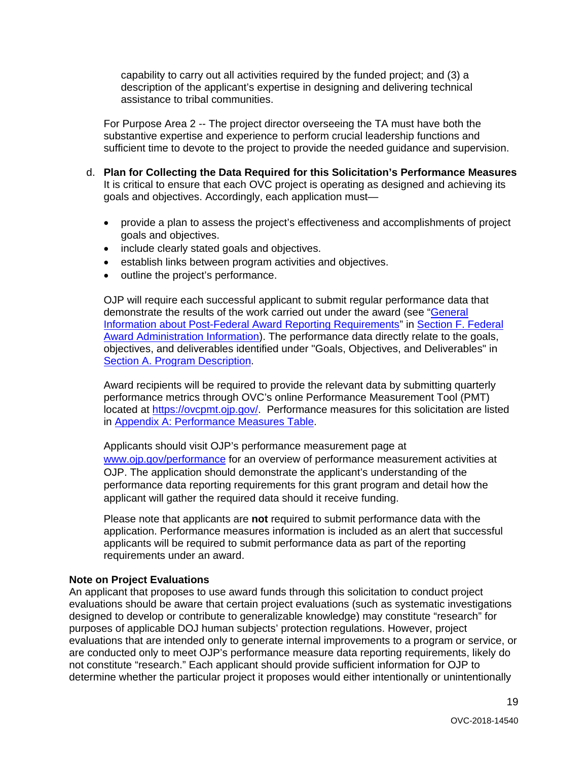capability to carry out all activities required by the funded project; and (3) a description of the applicant's expertise in designing and delivering technical assistance to tribal communities.

For Purpose Area 2 -- The project director overseeing the TA must have both the substantive expertise and experience to perform crucial leadership functions and sufficient time to devote to the project to provide the needed guidance and supervision.

- It is critical to ensure that each OVC project is operating as designed and achieving its goals and objectives. Accordingly, each application must d. **Plan for Collecting the Data Required for this Solicitation's Performance Measures**
	- provide a plan to assess the project's effectiveness and accomplishments of project goals and objectives.
	- include clearly stated goals and objectives.
	- establish links between program activities and objectives.
	- outline the project's performance.

demonstrate the results of the work carried out under the award (see "General OJP will require each successful applicant to submit regular performance data that [Information about Post-Federal Award Reporting Requirements"](#page-34-0) in [Section F. Federal](#page-33-0)  [Award Administration Information\)](#page-33-0). The performance data directly relate to the goals, objectives, and deliverables identified under "Goals, Objectives, and Deliverables" in [Section A. Program Description.](#page-4-0)

Award recipients will be required to provide the relevant data by submitting quarterly performance metrics through OVC's online Performance Measurement Tool (PMT) located at [https://ovcpmt.ojp.gov/.](https://ovcpmt.ojp.gov/) Performance measures for this solicitation are listed in [Appendix A: Performance Measures Table.](#page-36-0)

 OJP. The application should demonstrate the applicant's understanding of the Applicants should visit OJP's performance measurement page at [www.ojp.gov/performance](https://www.ojp.gov/performance) for an overview of performance measurement activities at performance data reporting requirements for this grant program and detail how the applicant will gather the required data should it receive funding.

 Please note that applicants are **not** required to submit performance data with the application. Performance measures information is included as an alert that successful applicants will be required to submit performance data as part of the reporting requirements under an award.

#### **Note on Project Evaluations**

 evaluations should be aware that certain project evaluations (such as systematic investigations evaluations that are intended only to generate internal improvements to a program or service, or An applicant that proposes to use award funds through this solicitation to conduct project designed to develop or contribute to generalizable knowledge) may constitute "research" for purposes of applicable DOJ human subjects' protection regulations. However, project are conducted only to meet OJP's performance measure data reporting requirements, likely do not constitute "research." Each applicant should provide sufficient information for OJP to determine whether the particular project it proposes would either intentionally or unintentionally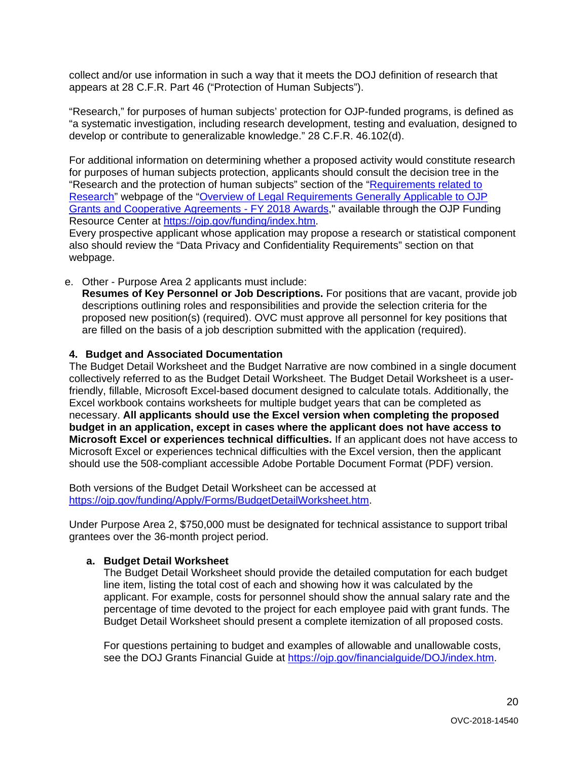collect and/or use information in such a way that it meets the DOJ definition of research that appears at 28 C.F.R. Part 46 ("Protection of Human Subjects").

"Research," for purposes of human subjects' protection for OJP-funded programs, is defined as "a systematic investigation, including research development, testing and evaluation, designed to develop or contribute to generalizable knowledge." 28 C.F.R. 46.102(d).

 for purposes of human subjects protection, applicants should consult the decision tree in the "Research and the protection of human subjects" section of the "<u>Requirements related to</u> [Research"](https://ojp.gov/funding/Explore/SolicitationRequirements/EvidenceResearchEvaluationRequirements.htm) webpage of the "Overview of Legal Requirements Generally Applicable to OJP [Grants and Cooperative Agreements -](https://ojp.gov/funding/Explore/LegalOverview/index.htm) FY 2018 Awards," available through the OJP Funding For additional information on determining whether a proposed activity would constitute research Resource Center at [https://ojp.gov/funding/index.htm.](https://ojp.gov/funding/index.htm)

Every prospective applicant whose application may propose a research or statistical component also should review the "Data Privacy and Confidentiality Requirements" section on that webpage.

e. Other - Purpose Area 2 applicants must include:

**Resumes of Key Personnel or Job Descriptions.** For positions that are vacant, provide job descriptions outlining roles and responsibilities and provide the selection criteria for the proposed new position(s) (required). OVC must approve all personnel for key positions that are filled on the basis of a job description submitted with the application (required).

#### **4. Budget and Associated Documentation**

The Budget Detail Worksheet and the Budget Narrative are now combined in a single document collectively referred to as the Budget Detail Worksheet. The Budget Detail Worksheet is a userfriendly, fillable, Microsoft Excel-based document designed to calculate totals. Additionally, the Excel workbook contains worksheets for multiple budget years that can be completed as necessary. **All applicants should use the Excel version when completing the proposed budget in an application, except in cases where the applicant does not have access to Microsoft Excel or experiences technical difficulties.** If an applicant does not have access to Microsoft Excel or experiences technical difficulties with the Excel version, then the applicant should use the 508-compliant accessible Adobe Portable Document Format (PDF) version.

Both versions of the Budget Detail Worksheet can be accessed at [https://ojp.gov/funding/Apply/Forms/BudgetDetailWorksheet.htm.](https://ojp.gov/funding/Apply/Forms/BudgetDetailWorksheet.htm)

Under Purpose Area 2, \$750,000 must be designated for technical assistance to support tribal grantees over the 36-month project period.

#### **a. Budget Detail Worksheet**

The Budget Detail Worksheet should provide the detailed computation for each budget line item, listing the total cost of each and showing how it was calculated by the applicant. For example, costs for personnel should show the annual salary rate and the percentage of time devoted to the project for each employee paid with grant funds. The Budget Detail Worksheet should present a complete itemization of all proposed costs.

For questions pertaining to budget and examples of allowable and unallowable costs, see the DOJ Grants Financial Guide at [https://ojp.gov/financialguide/DOJ/index.htm.](https://ojp.gov/financialguide/DOJ/index.htm)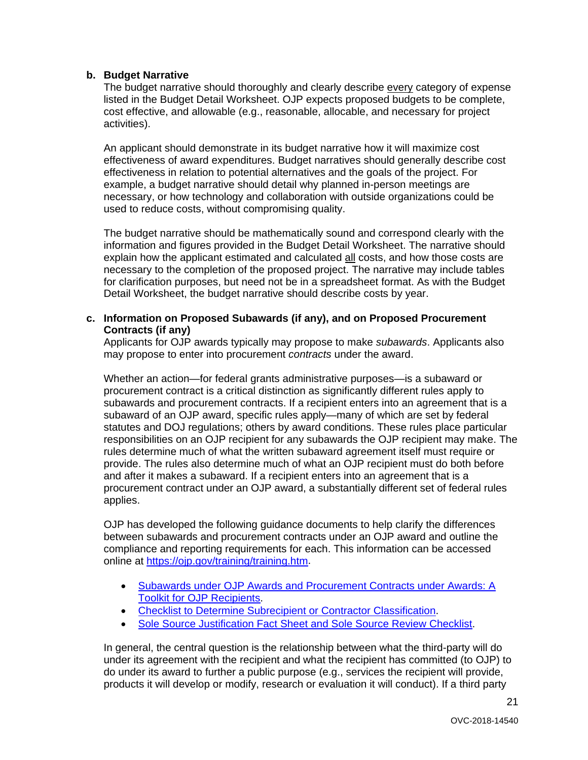#### **b. Budget Narrative**

activities). The budget narrative should thoroughly and clearly describe every category of expense listed in the Budget Detail Worksheet. OJP expects proposed budgets to be complete, cost effective, and allowable (e.g., reasonable, allocable, and necessary for project

An applicant should demonstrate in its budget narrative how it will maximize cost effectiveness of award expenditures. Budget narratives should generally describe cost effectiveness in relation to potential alternatives and the goals of the project. For example, a budget narrative should detail why planned in-person meetings are necessary, or how technology and collaboration with outside organizations could be used to reduce costs, without compromising quality.

The budget narrative should be mathematically sound and correspond clearly with the information and figures provided in the Budget Detail Worksheet. The narrative should explain how the applicant estimated and calculated all costs, and how those costs are necessary to the completion of the proposed project. The narrative may include tables for clarification purposes, but need not be in a spreadsheet format. As with the Budget Detail Worksheet, the budget narrative should describe costs by year.

#### **c. Information on Proposed Subawards (if any), and on Proposed Procurement Contracts (if any)**

Applicants for OJP awards typically may propose to make *subawards*. Applicants also may propose to enter into procurement *contracts* under the award.

applies. Whether an action—for federal grants administrative purposes—is a subaward or procurement contract is a critical distinction as significantly different rules apply to subawards and procurement contracts. If a recipient enters into an agreement that is a subaward of an OJP award, specific rules apply—many of which are set by federal statutes and DOJ regulations; others by award conditions. These rules place particular responsibilities on an OJP recipient for any subawards the OJP recipient may make. The rules determine much of what the written subaward agreement itself must require or provide. The rules also determine much of what an OJP recipient must do both before and after it makes a subaward. If a recipient enters into an agreement that is a procurement contract under an OJP award, a substantially different set of federal rules

OJP has developed the following guidance documents to help clarify the differences between subawards and procurement contracts under an OJP award and outline the compliance and reporting requirements for each. This information can be accessed online at [https://ojp.gov/training/training.htm.](http://links.govdelivery.com/track?type=click&enid=ZWFzPTEmbXNpZD0mYXVpZD0mbWFpbGluZ2lkPTIwMTcwNzE3Ljc1OTkyNjAxJm1lc3NhZ2VpZD1NREItUFJELUJVTC0yMDE3MDcxNy43NTk5MjYwMSZkYXRhYmFzZWlkPTEwMDEmc2VyaWFsPTE3MDc5NDk3JmVtYWlsaWQ9bHVjeS5tdW5nbGVAb2pwLnVzZG9qLmdvdiZ1c2VyaWQ9bHVjeS5tdW5nbGVAb2pwLnVzZG9qLmdvdiZ0YXJnZXRpZD0mZmw9Jm12aWQ9JmV4dHJhPSYmJg==&&&100&&&https://ojp.gov/training/training.htm)

- [Subawards under OJP Awards and Procurement Contracts under Awards: A](http://links.govdelivery.com/track?type=click&enid=ZWFzPTEmbXNpZD0mYXVpZD0mbWFpbGluZ2lkPTIwMTcwNzE3Ljc1OTkyNjAxJm1lc3NhZ2VpZD1NREItUFJELUJVTC0yMDE3MDcxNy43NTk5MjYwMSZkYXRhYmFzZWlkPTEwMDEmc2VyaWFsPTE3MDc5NDk3JmVtYWlsaWQ9bHVjeS5tdW5nbGVAb2pwLnVzZG9qLmdvdiZ1c2VyaWQ9bHVjeS5tdW5nbGVAb2pwLnVzZG9qLmdvdiZ0YXJnZXRpZD0mZmw9Jm12aWQ9JmV4dHJhPSYmJg==&&&101&&&https://ojp.gov/training/pdfs/Subaward-Procure-Toolkit-D.pdf)  [Toolkit for OJP Recipients.](http://links.govdelivery.com/track?type=click&enid=ZWFzPTEmbXNpZD0mYXVpZD0mbWFpbGluZ2lkPTIwMTcwNzE3Ljc1OTkyNjAxJm1lc3NhZ2VpZD1NREItUFJELUJVTC0yMDE3MDcxNy43NTk5MjYwMSZkYXRhYmFzZWlkPTEwMDEmc2VyaWFsPTE3MDc5NDk3JmVtYWlsaWQ9bHVjeS5tdW5nbGVAb2pwLnVzZG9qLmdvdiZ1c2VyaWQ9bHVjeS5tdW5nbGVAb2pwLnVzZG9qLmdvdiZ0YXJnZXRpZD0mZmw9Jm12aWQ9JmV4dHJhPSYmJg==&&&101&&&https://ojp.gov/training/pdfs/Subaward-Procure-Toolkit-D.pdf)
- [Checklist to Determine Subrecipient or Contractor Classification.](http://links.govdelivery.com/track?type=click&enid=ZWFzPTEmbXNpZD0mYXVpZD0mbWFpbGluZ2lkPTIwMTcwNzE3Ljc1OTkyNjAxJm1lc3NhZ2VpZD1NREItUFJELUJVTC0yMDE3MDcxNy43NTk5MjYwMSZkYXRhYmFzZWlkPTEwMDEmc2VyaWFsPTE3MDc5NDk3JmVtYWlsaWQ9bHVjeS5tdW5nbGVAb2pwLnVzZG9qLmdvdiZ1c2VyaWQ9bHVjeS5tdW5nbGVAb2pwLnVzZG9qLmdvdiZ0YXJnZXRpZD0mZmw9Jm12aWQ9JmV4dHJhPSYmJg==&&&102&&&https://ojp.gov/training/pdfs/Subrecipient-Procure-cklist-B.pdf)
- [Sole Source Justification Fact Sheet and Sole Source Review Checklist.](http://links.govdelivery.com/track?type=click&enid=ZWFzPTEmbXNpZD0mYXVpZD0mbWFpbGluZ2lkPTIwMTcwNzE3Ljc1OTkyNjAxJm1lc3NhZ2VpZD1NREItUFJELUJVTC0yMDE3MDcxNy43NTk5MjYwMSZkYXRhYmFzZWlkPTEwMDEmc2VyaWFsPTE3MDc5NDk3JmVtYWlsaWQ9bHVjeS5tdW5nbGVAb2pwLnVzZG9qLmdvdiZ1c2VyaWQ9bHVjeS5tdW5nbGVAb2pwLnVzZG9qLmdvdiZ0YXJnZXRpZD0mZmw9Jm12aWQ9JmV4dHJhPSYmJg==&&&103&&&https://ojp.gov/training/pdfs/Sole-Source-FactSheet-C.pdf)

In general, the central question is the relationship between what the third-party will do under its agreement with the recipient and what the recipient has committed (to OJP) to do under its award to further a public purpose (e.g., services the recipient will provide, products it will develop or modify, research or evaluation it will conduct). If a third party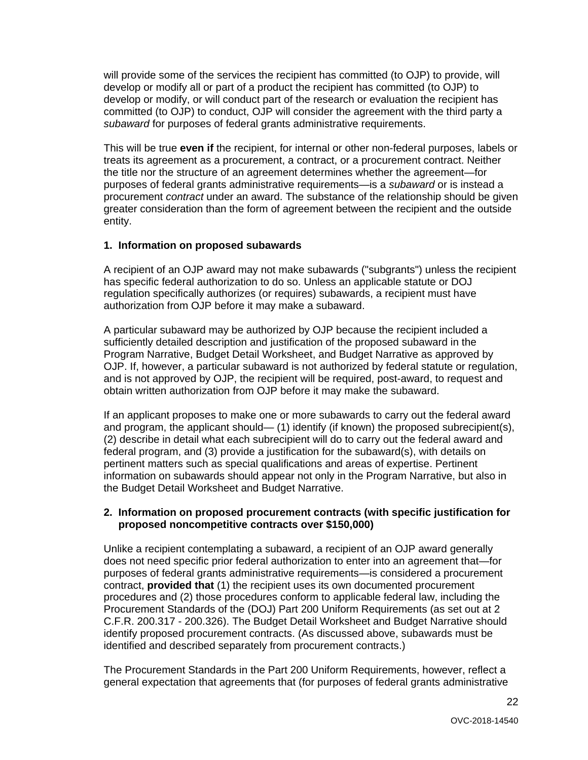will provide some of the services the recipient has committed (to OJP) to provide, will develop or modify all or part of a product the recipient has committed (to OJP) to develop or modify, or will conduct part of the research or evaluation the recipient has committed (to OJP) to conduct, OJP will consider the agreement with the third party a *subaward* for purposes of federal grants administrative requirements.

This will be true **even if** the recipient, for internal or other non-federal purposes, labels or treats its agreement as a procurement, a contract, or a procurement contract. Neither the title nor the structure of an agreement determines whether the agreement—for purposes of federal grants administrative requirements—is a *subaward* or is instead a procurement *contract* under an award. The substance of the relationship should be given greater consideration than the form of agreement between the recipient and the outside entity.

#### **1. Information on proposed subawards**

A recipient of an OJP award may not make subawards ("subgrants") unless the recipient has specific federal authorization to do so. Unless an applicable statute or DOJ regulation specifically authorizes (or requires) subawards, a recipient must have authorization from OJP before it may make a subaward.

A particular subaward may be authorized by OJP because the recipient included a sufficiently detailed description and justification of the proposed subaward in the Program Narrative, Budget Detail Worksheet, and Budget Narrative as approved by OJP. If, however, a particular subaward is not authorized by federal statute or regulation, and is not approved by OJP, the recipient will be required, post-award, to request and obtain written authorization from OJP before it may make the subaward.

If an applicant proposes to make one or more subawards to carry out the federal award and program, the applicant should— (1) identify (if known) the proposed subrecipient(s), (2) describe in detail what each subrecipient will do to carry out the federal award and federal program, and (3) provide a justification for the subaward(s), with details on pertinent matters such as special qualifications and areas of expertise. Pertinent information on subawards should appear not only in the Program Narrative, but also in the Budget Detail Worksheet and Budget Narrative.

#### **2. Information on proposed procurement contracts (with specific justification for proposed noncompetitive contracts over \$150,000)**

 contract, **provided that** (1) the recipient uses its own documented procurement C.F.R. 200.317 - 200.326). The Budget Detail Worksheet and Budget Narrative should Unlike a recipient contemplating a subaward, a recipient of an OJP award generally does not need specific prior federal authorization to enter into an agreement that—for purposes of federal grants administrative requirements—is considered a procurement procedures and (2) those procedures conform to applicable federal law, including the Procurement Standards of the (DOJ) Part 200 Uniform Requirements (as set out at 2 identify proposed procurement contracts. (As discussed above, subawards must be identified and described separately from procurement contracts.)

The Procurement Standards in the Part 200 Uniform Requirements, however, reflect a general expectation that agreements that (for purposes of federal grants administrative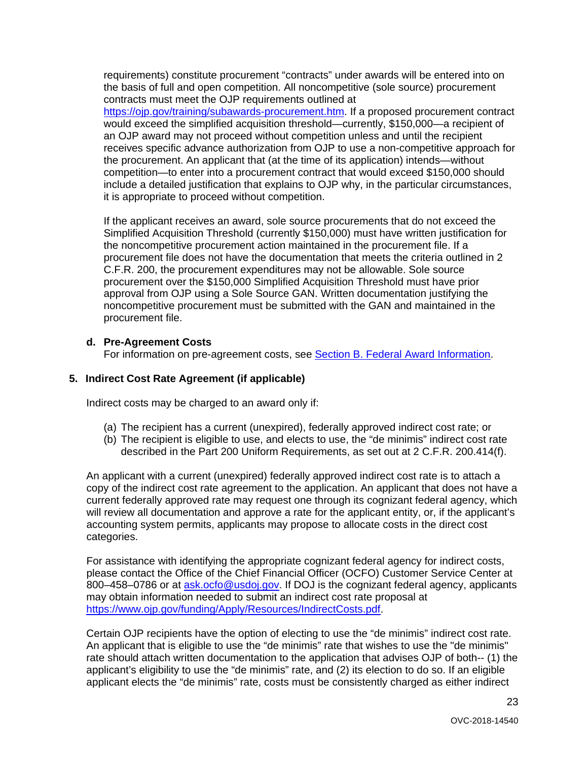requirements) constitute procurement "contracts" under awards will be entered into on the basis of full and open competition. All noncompetitive (sole source) procurement contracts must meet the OJP requirements outlined at [https://ojp.gov/training/subawards-procurement.htm.](https://ojp.gov/training/subawards-procurement.htm) If a proposed procurement contract would exceed the simplified acquisition threshold—currently, \$150,000—a recipient of an OJP award may not proceed without competition unless and until the recipient receives specific advance authorization from OJP to use a non-competitive approach for the procurement. An applicant that (at the time of its application) intends—without competition—to enter into a procurement contract that would exceed \$150,000 should include a detailed justification that explains to OJP why, in the particular circumstances, it is appropriate to proceed without competition.

If the applicant receives an award, sole source procurements that do not exceed the Simplified Acquisition Threshold (currently \$150,000) must have written justification for the noncompetitive procurement action maintained in the procurement file. If a procurement file does not have the documentation that meets the criteria outlined in 2 C.F.R. 200, the procurement expenditures may not be allowable. Sole source procurement over the \$150,000 Simplified Acquisition Threshold must have prior approval from OJP using a Sole Source GAN. Written documentation justifying the noncompetitive procurement must be submitted with the GAN and maintained in the procurement file.

#### **d. Pre-Agreement Costs**

For information on pre-agreement costs, see [Section B. Federal Award Information.](#page-9-2)

#### **5. Indirect Cost Rate Agreement (if applicable)**

Indirect costs may be charged to an award only if:

- (a) The recipient has a current (unexpired), federally approved indirect cost rate; or
- (b) The recipient is eligible to use, and elects to use, the "de minimis" indirect cost rate described in the Part 200 Uniform Requirements, as set out at 2 C.F.R. 200.414(f).

 copy of the indirect cost rate agreement to the application. An applicant that does not have a An applicant with a current (unexpired) federally approved indirect cost rate is to attach a current federally approved rate may request one through its cognizant federal agency, which will review all documentation and approve a rate for the applicant entity, or, if the applicant's accounting system permits, applicants may propose to allocate costs in the direct cost categories.

For assistance with identifying the appropriate cognizant federal agency for indirect costs, please contact the Office of the Chief Financial Officer (OCFO) Customer Service Center at 800–458–0786 or at [ask.ocfo@usdoj.gov.](mailto:ask.ocfo@usdoj.gov) If DOJ is the cognizant federal agency, applicants may obtain information needed to submit an indirect cost rate proposal at [https://www.ojp.gov/funding/Apply/Resources/IndirectCosts.pdf.](https://www.ojp.gov/funding/Apply/Resources/IndirectCosts.pdf)

 An applicant that is eligible to use the "de minimis" rate that wishes to use the "de minimis" applicant's eligibility to use the "de minimis" rate, and (2) its election to do so. If an eligible Certain OJP recipients have the option of electing to use the "de minimis" indirect cost rate. rate should attach written documentation to the application that advises OJP of both-- (1) the applicant elects the "de minimis" rate, costs must be consistently charged as either indirect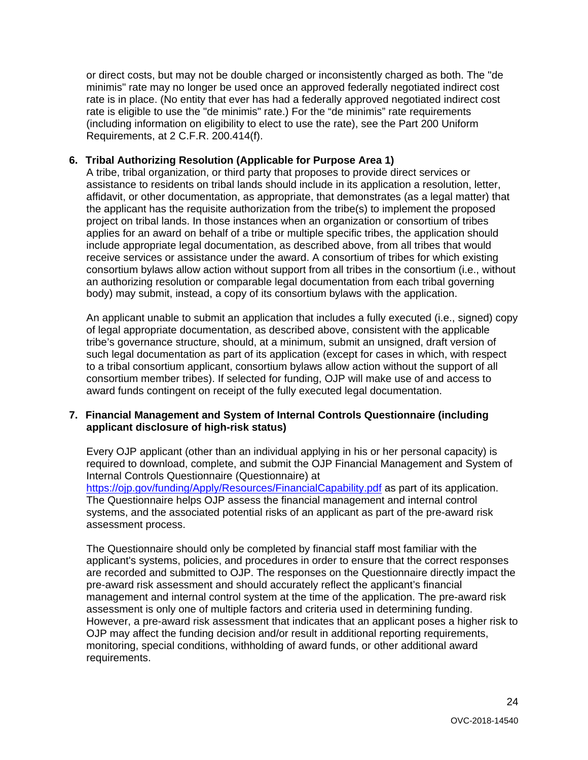or direct costs, but may not be double charged or inconsistently charged as both. The "de minimis" rate may no longer be used once an approved federally negotiated indirect cost rate is in place. (No entity that ever has had a federally approved negotiated indirect cost rate is eligible to use the "de minimis" rate.) For the "de minimis" rate requirements (including information on eligibility to elect to use the rate), see the Part 200 Uniform Requirements, at 2 C.F.R. 200.414(f).

#### **6. Tribal Authorizing Resolution (Applicable for Purpose Area 1)**

A tribe, tribal organization, or third party that proposes to provide direct services or assistance to residents on tribal lands should include in its application a resolution, letter, affidavit, or other documentation, as appropriate, that demonstrates (as a legal matter) that the applicant has the requisite authorization from the tribe(s) to implement the proposed project on tribal lands. In those instances when an organization or consortium of tribes applies for an award on behalf of a tribe or multiple specific tribes, the application should include appropriate legal documentation, as described above, from all tribes that would receive services or assistance under the award. A consortium of tribes for which existing consortium bylaws allow action without support from all tribes in the consortium (i.e., without an authorizing resolution or comparable legal documentation from each tribal governing body) may submit, instead, a copy of its consortium bylaws with the application.

An applicant unable to submit an application that includes a fully executed (i.e., signed) copy of legal appropriate documentation, as described above, consistent with the applicable tribe's governance structure, should, at a minimum, submit an unsigned, draft version of such legal documentation as part of its application (except for cases in which, with respect to a tribal consortium applicant, consortium bylaws allow action without the support of all consortium member tribes). If selected for funding, OJP will make use of and access to award funds contingent on receipt of the fully executed legal documentation.

#### **7. Financial Management and System of Internal Controls Questionnaire (including applicant disclosure of high-risk status)**

Every OJP applicant (other than an individual applying in his or her personal capacity) is required to download, complete, and submit the OJP Financial Management and System of Internal Controls Questionnaire (Questionnaire) at <https://ojp.gov/funding/Apply/Resources/FinancialCapability.pdf>as part of its application. The Questionnaire helps OJP assess the financial management and internal control systems, and the associated potential risks of an applicant as part of the pre-award risk assessment process.

The Questionnaire should only be completed by financial staff most familiar with the applicant's systems, policies, and procedures in order to ensure that the correct responses are recorded and submitted to OJP. The responses on the Questionnaire directly impact the pre-award risk assessment and should accurately reflect the applicant's financial management and internal control system at the time of the application. The pre-award risk assessment is only one of multiple factors and criteria used in determining funding. However, a pre-award risk assessment that indicates that an applicant poses a higher risk to OJP may affect the funding decision and/or result in additional reporting requirements, monitoring, special conditions, withholding of award funds, or other additional award requirements.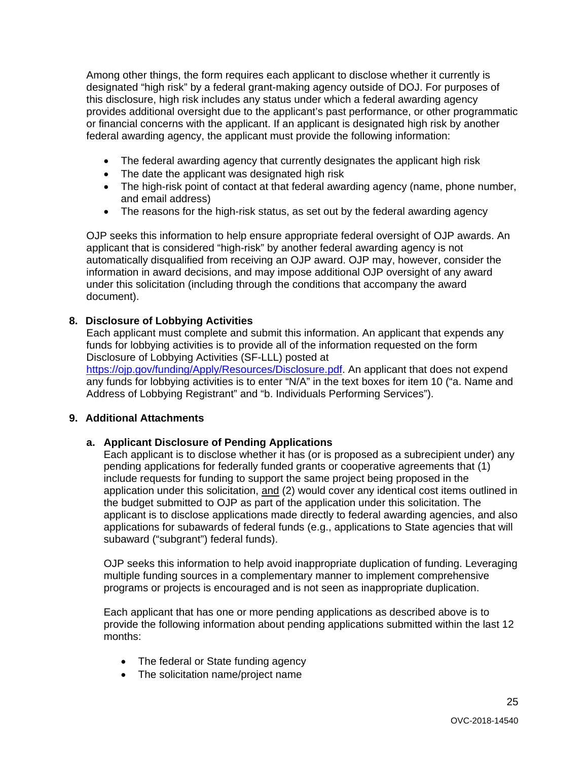Among other things, the form requires each applicant to disclose whether it currently is designated "high risk" by a federal grant-making agency outside of DOJ. For purposes of this disclosure, high risk includes any status under which a federal awarding agency provides additional oversight due to the applicant's past performance, or other programmatic or financial concerns with the applicant. If an applicant is designated high risk by another federal awarding agency, the applicant must provide the following information:

- The federal awarding agency that currently designates the applicant high risk
- The date the applicant was designated high risk
- The high-risk point of contact at that federal awarding agency (name, phone number, and email address)
- The reasons for the high-risk status, as set out by the federal awarding agency

OJP seeks this information to help ensure appropriate federal oversight of OJP awards. An applicant that is considered "high-risk" by another federal awarding agency is not automatically disqualified from receiving an OJP award. OJP may, however, consider the information in award decisions, and may impose additional OJP oversight of any award under this solicitation (including through the conditions that accompany the award document).

#### **8. Disclosure of Lobbying Activities**

Each applicant must complete and submit this information. An applicant that expends any funds for lobbying activities is to provide all of the information requested on the form Disclosure of Lobbying Activities (SF-LLL) posted at https://oip.gov/funding/Apply/Resources/Disclosure.pdf. An applicant that does not expend any funds for lobbying activities is to enter "N/A" in the text boxes for item 10 ("a. Name and Address of Lobbying Registrant" and "b. Individuals Performing Services").

#### **9. Additional Attachments**

#### **a. Applicant Disclosure of Pending Applications**

 Each applicant is to disclose whether it has (or is proposed as a subrecipient under) any application under this solicitation, and (2) would cover any identical cost items outlined in the budget submitted to OJP as part of the application under this solicitation. The pending applications for federally funded grants or cooperative agreements that (1) include requests for funding to support the same project being proposed in the applicant is to disclose applications made directly to federal awarding agencies, and also applications for subawards of federal funds (e.g., applications to State agencies that will subaward ("subgrant") federal funds).

OJP seeks this information to help avoid inappropriate duplication of funding. Leveraging multiple funding sources in a complementary manner to implement comprehensive programs or projects is encouraged and is not seen as inappropriate duplication.

Each applicant that has one or more pending applications as described above is to provide the following information about pending applications submitted within the last 12 months:

- The federal or State funding agency
- The solicitation name/project name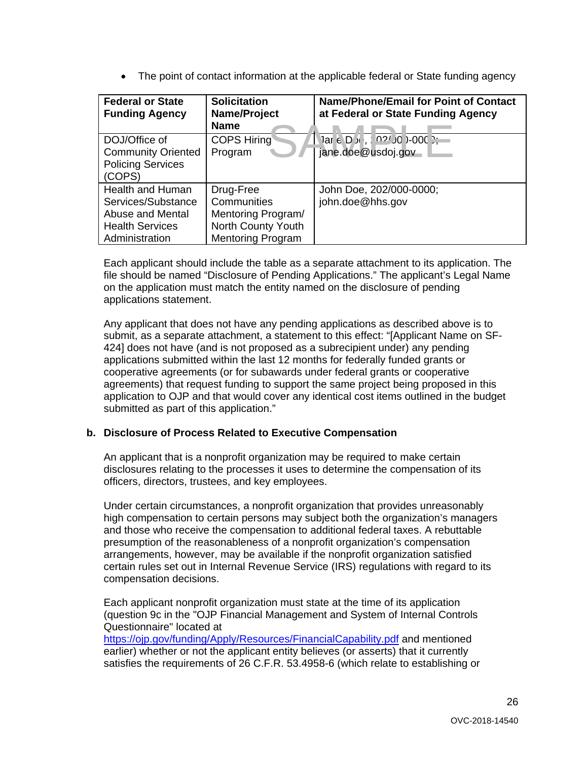• The point of contact information at the applicable federal or State funding agency

| <b>Federal or State</b><br><b>Funding Agency</b>                                                              | <b>Solicitation</b><br>Name/Project<br><b>Name</b>                                               | <b>Name/Phone/Email for Point of Contact</b><br>at Federal or State Funding Agency |
|---------------------------------------------------------------------------------------------------------------|--------------------------------------------------------------------------------------------------|------------------------------------------------------------------------------------|
| DOJ/Office of<br><b>Community Oriented</b><br><b>Policing Services</b><br>(COPS)                              | <b>COPS Hiring</b><br>Program                                                                    | jane.doe@usdoj.gov                                                                 |
| <b>Health and Human</b><br>Services/Substance<br>Abuse and Mental<br><b>Health Services</b><br>Administration | Drug-Free<br>Communities<br>Mentoring Program/<br>North County Youth<br><b>Mentoring Program</b> | John Doe, 202/000-0000;<br>john.doe@hhs.gov                                        |

Each applicant should include the table as a separate attachment to its application. The file should be named "Disclosure of Pending Applications." The applicant's Legal Name on the application must match the entity named on the disclosure of pending applications statement.

 submitted as part of this application." Any applicant that does not have any pending applications as described above is to submit, as a separate attachment, a statement to this effect: "[Applicant Name on SF-424] does not have (and is not proposed as a subrecipient under) any pending applications submitted within the last 12 months for federally funded grants or cooperative agreements (or for subawards under federal grants or cooperative agreements) that request funding to support the same project being proposed in this application to OJP and that would cover any identical cost items outlined in the budget

#### **b. Disclosure of Process Related to Executive Compensation**

An applicant that is a nonprofit organization may be required to make certain disclosures relating to the processes it uses to determine the compensation of its officers, directors, trustees, and key employees.

Under certain circumstances, a nonprofit organization that provides unreasonably high compensation to certain persons may subject both the organization's managers and those who receive the compensation to additional federal taxes. A rebuttable presumption of the reasonableness of a nonprofit organization's compensation arrangements, however, may be available if the nonprofit organization satisfied certain rules set out in Internal Revenue Service (IRS) regulations with regard to its compensation decisions.

Each applicant nonprofit organization must state at the time of its application (question 9c in the "OJP Financial Management and System of Internal Controls Questionnaire" located at <https://ojp.gov/funding/Apply/Resources/FinancialCapability.pdf>and mentioned earlier) whether or not the applicant entity believes (or asserts) that it currently satisfies the requirements of 26 C.F.R. 53.4958-6 (which relate to establishing or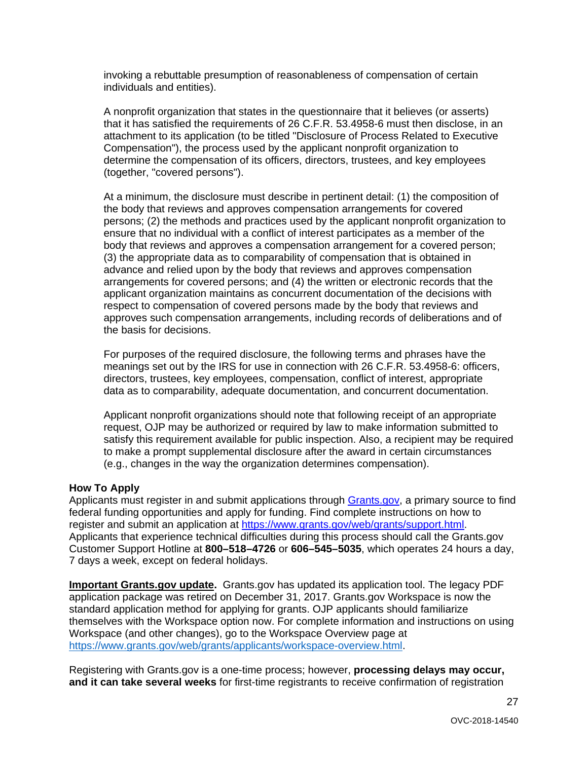invoking a rebuttable presumption of reasonableness of compensation of certain individuals and entities).

A nonprofit organization that states in the questionnaire that it believes (or asserts) that it has satisfied the requirements of 26 C.F.R. 53.4958-6 must then disclose, in an attachment to its application (to be titled "Disclosure of Process Related to Executive Compensation"), the process used by the applicant nonprofit organization to determine the compensation of its officers, directors, trustees, and key employees (together, "covered persons").

At a minimum, the disclosure must describe in pertinent detail: (1) the composition of the body that reviews and approves compensation arrangements for covered persons; (2) the methods and practices used by the applicant nonprofit organization to ensure that no individual with a conflict of interest participates as a member of the body that reviews and approves a compensation arrangement for a covered person; (3) the appropriate data as to comparability of compensation that is obtained in advance and relied upon by the body that reviews and approves compensation arrangements for covered persons; and (4) the written or electronic records that the applicant organization maintains as concurrent documentation of the decisions with respect to compensation of covered persons made by the body that reviews and approves such compensation arrangements, including records of deliberations and of the basis for decisions.

For purposes of the required disclosure, the following terms and phrases have the meanings set out by the IRS for use in connection with 26 C.F.R. 53.4958-6: officers, directors, trustees, key employees, compensation, conflict of interest, appropriate data as to comparability, adequate documentation, and concurrent documentation.

Applicant nonprofit organizations should note that following receipt of an appropriate request, OJP may be authorized or required by law to make information submitted to satisfy this requirement available for public inspection. Also, a recipient may be required to make a prompt supplemental disclosure after the award in certain circumstances (e.g., changes in the way the organization determines compensation).

#### <span id="page-26-0"></span> **How To Apply**

Applicants must register in and submit applications through [Grants.gov,](https://www.grants.gov/) a primary source to find federal funding opportunities and apply for funding. Find complete instructions on how to register and submit an application at [https://www.grants.gov/web/grants/support.html.](https://www.grants.gov/web/grants/support.html) Applicants that experience technical difficulties during this process should call the Grants.gov Customer Support Hotline at **800–518–4726** or **606–545–5035**, which operates 24 hours a day, 7 days a week, except on federal holidays.

 **Important Grants.gov update.** Grants.gov has updated its application tool. The legacy PDF application package was retired on December 31, 2017. Grants.gov Workspace is now the standard application method for applying for grants. OJP applicants should familiarize themselves with the Workspace option now. For complete information and instructions on using Workspace (and other changes), go to the Workspace Overview page at [https://www.grants.gov/web/grants/applicants/workspace-overview.html.](https://www.grants.gov/web/grants/applicants/workspace-overview.html)

Registering with Grants.gov is a one-time process; however, **processing delays may occur, and it can take several weeks** for first-time registrants to receive confirmation of registration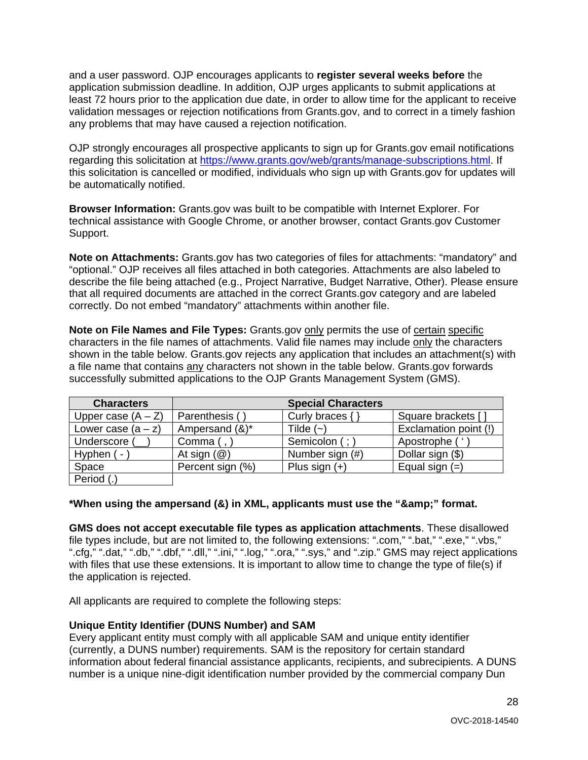and a user password. OJP encourages applicants to **register several weeks before** the application submission deadline. In addition, OJP urges applicants to submit applications at least 72 hours prior to the application due date, in order to allow time for the applicant to receive validation messages or rejection notifications from Grants.gov, and to correct in a timely fashion any problems that may have caused a rejection notification.

OJP strongly encourages all prospective applicants to sign up for Grants.gov email notifications regarding this solicitation at [https://www.grants.gov/web/grants/manage-subscriptions.html.](https://www.grants.gov/web/grants/manage-subscriptions.html) If this solicitation is cancelled or modified, individuals who sign up with Grants.gov for updates will be automatically notified.

 technical assistance with Google Chrome, or another browser, contact Grants.gov Customer **Browser Information:** Grants.gov was built to be compatible with Internet Explorer. For Support.

 **Note on Attachments:** Grants.gov has two categories of files for attachments: "mandatory" and that all required documents are attached in the correct Grants.gov category and are labeled "optional." OJP receives all files attached in both categories. Attachments are also labeled to describe the file being attached (e.g., Project Narrative, Budget Narrative, Other). Please ensure correctly. Do not embed "mandatory" attachments within another file.

**Note on File Names and File Types:** Grants.gov **only permits the use of certain specific** characters in the file names of attachments. Valid file names may include <u>only</u> the characters shown in the table below. Grants.gov rejects any application that includes an attachment(s) with a file name that contains any characters not shown in the table below. Grants.gov forwards successfully submitted applications to the OJP Grants Management System (GMS).

| <b>Characters</b>    |                         | <b>Special Characters</b> |                       |
|----------------------|-------------------------|---------------------------|-----------------------|
| Upper case $(A - Z)$ | Parenthesis (           | Curly braces {            | Square brackets [     |
| Lower case $(a - z)$ | Ampersand (&)*          | Tilde $(-)$               | Exclamation point (!) |
| Underscore (         | Comma (,                | Semicolon (; )            | Apostrophe ('         |
| Hyphen ( -           | At sign $(\mathcal{Q})$ | Number sign (#)           | Dollar sign (\$)      |
| Space                | Percent sign (%)        | Plus sign $(+)$           | Equal sign $(=)$      |
| Period (.)           |                         |                           |                       |

#### \*When using the ampersand (&) in XML, applicants must use the "&" format.

**GMS does not accept executable file types as application attachments**. These disallowed file types include, but are not limited to, the following extensions: ".com," ".bat," ".exe," ".vbs," ".cfg," ".dat," ".db," ".dbf," ".dll," ".ini," ".log," ".ora," ".sys," and ".zip." GMS may reject applications with files that use these extensions. It is important to allow time to change the type of file(s) if the application is rejected.

All applicants are required to complete the following steps:

#### **Unique Entity Identifier (DUNS Number) and SAM**

 Every applicant entity must comply with all applicable SAM and unique entity identifier (currently, a DUNS number) requirements. SAM is the repository for certain standard information about federal financial assistance applicants, recipients, and subrecipients. A DUNS number is a unique nine-digit identification number provided by the commercial company Dun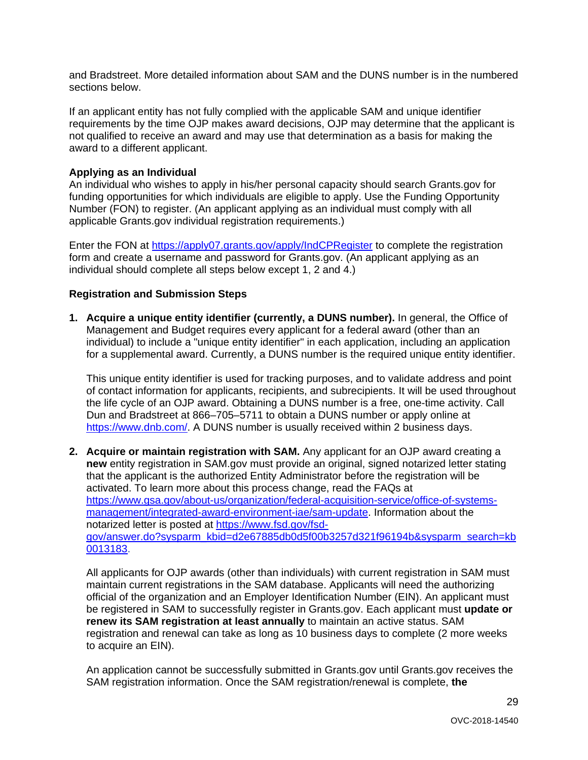sections below. and Bradstreet. More detailed information about SAM and the DUNS number is in the numbered

 If an applicant entity has not fully complied with the applicable SAM and unique identifier requirements by the time OJP makes award decisions, OJP may determine that the applicant is not qualified to receive an award and may use that determination as a basis for making the award to a different applicant.

#### **Applying as an Individual**

An individual who wishes to apply in his/her personal capacity should search Grants.gov for funding opportunities for which individuals are eligible to apply. Use the Funding Opportunity Number (FON) to register. (An applicant applying as an individual must comply with all applicable Grants.gov individual registration requirements.)

Enter the FON at<https://apply07.grants.gov/apply/IndCPRegister>to complete the registration form and create a username and password for Grants.gov. (An applicant applying as an individual should complete all steps below except 1, 2 and 4.)

#### **Registration and Submission Steps**

 Management and Budget requires every applicant for a federal award (other than an individual) to include a "unique entity identifier" in each application, including an application **1. Acquire a unique entity identifier (currently, a DUNS number).** In general, the Office of for a supplemental award. Currently, a DUNS number is the required unique entity identifier.

This unique entity identifier is used for tracking purposes, and to validate address and point of contact information for applicants, recipients, and subrecipients. It will be used throughout the life cycle of an OJP award. Obtaining a DUNS number is a free, one-time activity. Call Dun and Bradstreet at 866–705–5711 to obtain a DUNS number or apply online at [https://www.dnb.com/.](https://www.dnb.com/) A DUNS number is usually received within 2 business days.

 **new** entity registration in SAM.gov must provide an original, signed notarized letter stating **2. Acquire or maintain registration with SAM.** Any applicant for an OJP award creating a that the applicant is the authorized Entity Administrator before the registration will be activated. To learn more about this process change, read the FAQs at [https://www.gsa.gov/about-us/organization/federal-acquisition-service/office-of-systems](https://www.gsa.gov/about-us/organization/federal-acquisition-service/office-of-systems-management/integrated-award-environment-iae/sam-update)[management/integrated-award-environment-iae/sam-update.](https://www.gsa.gov/about-us/organization/federal-acquisition-service/office-of-systems-management/integrated-award-environment-iae/sam-update) Information about the notarized letter is posted at [https://www.fsd.gov/fsd](https://www.fsd.gov/fsd-gov/answer.do?sysparm_kbid=d2e67885db0d5f00b3257d321f96194b&sysparm_search=kb0013183)[gov/answer.do?sysparm\\_kbid=d2e67885db0d5f00b3257d321f96194b&sysparm\\_search=kb](https://www.fsd.gov/fsd-gov/answer.do?sysparm_kbid=d2e67885db0d5f00b3257d321f96194b&sysparm_search=kb0013183)  [0013183.](https://www.fsd.gov/fsd-gov/answer.do?sysparm_kbid=d2e67885db0d5f00b3257d321f96194b&sysparm_search=kb0013183)

 **renew its SAM registration at least annually** to maintain an active status. SAM All applicants for OJP awards (other than individuals) with current registration in SAM must maintain current registrations in the SAM database. Applicants will need the authorizing official of the organization and an Employer Identification Number (EIN). An applicant must be registered in SAM to successfully register in Grants.gov. Each applicant must **update or**  registration and renewal can take as long as 10 business days to complete (2 more weeks to acquire an EIN).

An application cannot be successfully submitted in Grants.gov until Grants.gov receives the SAM registration information. Once the SAM registration/renewal is complete, **the**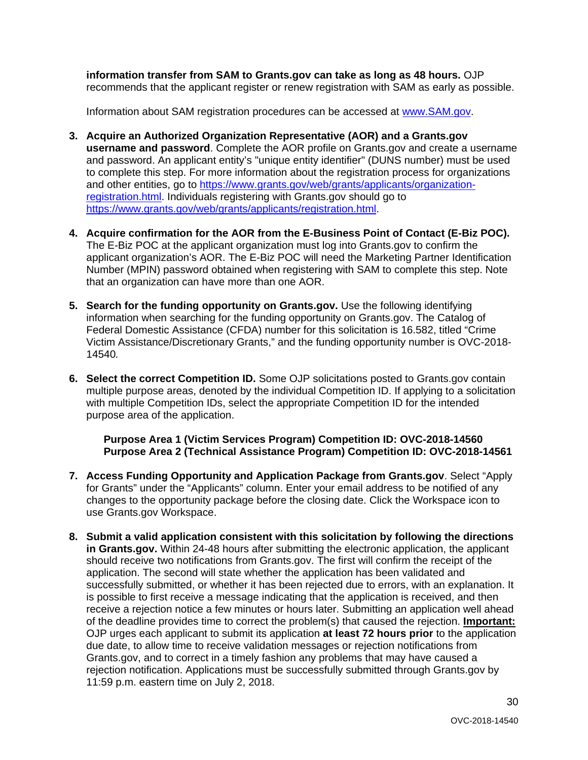**information transfer from SAM to Grants.gov can take as long as 48 hours.** OJP recommends that the applicant register or renew registration with SAM as early as possible.

Information about SAM registration procedures can be accessed at [www.SAM.gov.](https://www.sam.gov/)

- **3. Acquire an Authorized Organization Representative (AOR) and a Grants.gov username and password**. Complete the AOR profile on Grants.gov and create a username and password. An applicant entity's "unique entity identifier" (DUNS number) must be used to complete this step. For more information about the registration process for organizations and other entities, go to [https://www.grants.gov/web/grants/applicants/organization](https://www.grants.gov/web/grants/applicants/organization-registration.html)[registration.html.](https://www.grants.gov/web/grants/applicants/organization-registration.html) Individuals registering with Grants.gov should go to [https://www.grants.gov/web/grants/applicants/registration.html.](https://www.grants.gov/web/grants/applicants/registration.html)
- **4. Acquire confirmation for the AOR from the E-Business Point of Contact (E-Biz POC).** The E-Biz POC at the applicant organization must log into Grants.gov to confirm the applicant organization's AOR. The E-Biz POC will need the Marketing Partner Identification Number (MPIN) password obtained when registering with SAM to complete this step. Note that an organization can have more than one AOR.
- **5. Search for the funding opportunity on Grants.gov.** Use the following identifying information when searching for the funding opportunity on Grants.gov. The Catalog of Federal Domestic Assistance (CFDA) number for this solicitation is 16.582, titled "Crime Victim Assistance/Discretionary Grants," and the funding opportunity number is OVC-2018- 14540*.*
- **6. Select the correct Competition ID.** Some OJP solicitations posted to Grants.gov contain multiple purpose areas, denoted by the individual Competition ID. If applying to a solicitation with multiple Competition IDs, select the appropriate Competition ID for the intended purpose area of the application.

**Purpose Area 1 (Victim Services Program) Competition ID: OVC-2018-14560 Purpose Area 2 (Technical Assistance Program) Competition ID: OVC-2018-14561** 

- **7. Access Funding Opportunity and Application Package from Grants.gov**. Select "Apply for Grants" under the "Applicants" column. Enter your email address to be notified of any changes to the opportunity package before the closing date. Click the Workspace icon to use Grants.gov Workspace.
- 11:59 p.m. eastern time on July 2, 2018. **8. Submit a valid application consistent with this solicitation by following the directions in Grants.gov.** Within 24-48 hours after submitting the electronic application, the applicant should receive two notifications from Grants.gov. The first will confirm the receipt of the application. The second will state whether the application has been validated and successfully submitted, or whether it has been rejected due to errors, with an explanation. It is possible to first receive a message indicating that the application is received, and then receive a rejection notice a few minutes or hours later. Submitting an application well ahead of the deadline provides time to correct the problem(s) that caused the rejection. **Important:**  OJP urges each applicant to submit its application **at least 72 hours prior** to the application due date, to allow time to receive validation messages or rejection notifications from Grants.gov, and to correct in a timely fashion any problems that may have caused a rejection notification. Applications must be successfully submitted through Grants.gov by

30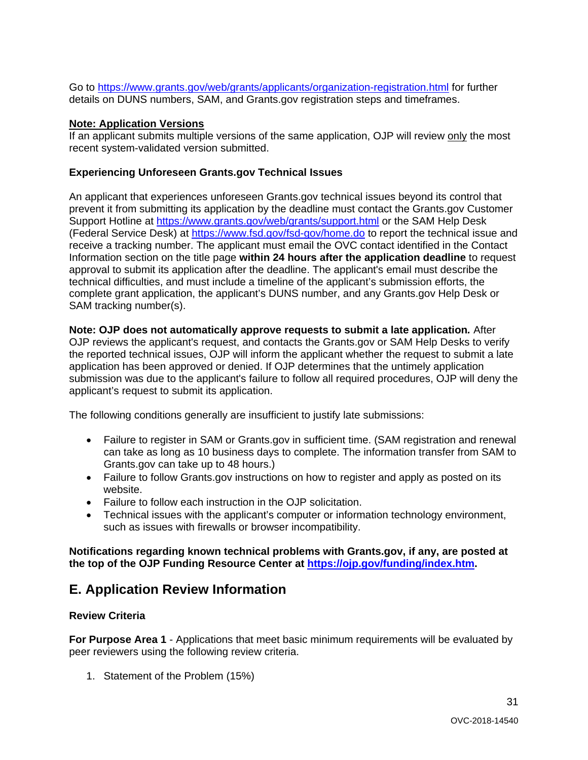Go to<https://www.grants.gov/web/grants/applicants/organization-registration.html>for further details on DUNS numbers, SAM, and Grants.gov registration steps and timeframes.

#### **Note: Application Versions**

 recent system-validated version submitted. If an applicant submits multiple versions of the same application, OJP will review only the most

#### **Experiencing Unforeseen Grants.gov Technical Issues**

Support Hotline at<https://www.grants.gov/web/grants/support.html>or the SAM Help Desk receive a tracking number. The applicant must email the OVC contact identified in the Contact An applicant that experiences unforeseen Grants.gov technical issues beyond its control that prevent it from submitting its application by the deadline must contact the Grants.gov Customer (Federal Service Desk) at<https://www.fsd.gov/fsd-gov/home.do>to report the technical issue and Information section on the title page **within 24 hours after the application deadline** to request approval to submit its application after the deadline. The applicant's email must describe the technical difficulties, and must include a timeline of the applicant's submission efforts, the complete grant application, the applicant's DUNS number, and any Grants.gov Help Desk or SAM tracking number(s).

 submission was due to the applicant's failure to follow all required procedures, OJP will deny the **Note: OJP does not automatically approve requests to submit a late application***.* After OJP reviews the applicant's request, and contacts the Grants.gov or SAM Help Desks to verify the reported technical issues, OJP will inform the applicant whether the request to submit a late application has been approved or denied. If OJP determines that the untimely application applicant's request to submit its application.

The following conditions generally are insufficient to justify late submissions:

- Failure to register in SAM or Grants.gov in sufficient time. (SAM registration and renewal can take as long as 10 business days to complete. The information transfer from SAM to Grants.gov can take up to 48 hours.)
- Failure to follow Grants.gov instructions on how to register and apply as posted on its website.
- Failure to follow each instruction in the OJP solicitation.
- such as issues with firewalls or browser incompatibility. • Technical issues with the applicant's computer or information technology environment,

**Notifications regarding known technical problems with Grants.gov, if any, are posted at the top of the OJP Funding Resource Center at [https://ojp.gov/funding/index.htm.](https://ojp.gov/funding/index.htm)** 

### <span id="page-30-0"></span>**E. Application Review Information**

#### <span id="page-30-1"></span>**Review Criteria**

 **For Purpose Area 1** - Applications that meet basic minimum requirements will be evaluated by peer reviewers using the following review criteria.

1. Statement of the Problem (15%)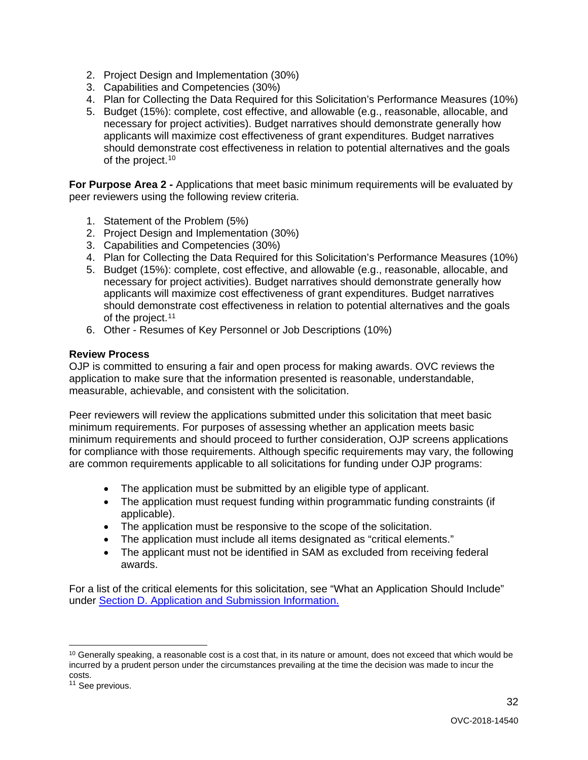- 2. Project Design and Implementation (30%)
- 3. Capabilities and Competencies (30%)
- 4. Plan for Collecting the Data Required for this Solicitation's Performance Measures (10%)
- 5. Budget (15%): complete, cost effective, and allowable (e.g., reasonable, allocable, and necessary for project activities). Budget narratives should demonstrate generally how of the project.<sup>10</sup> applicants will maximize cost effectiveness of grant expenditures. Budget narratives should demonstrate cost effectiveness in relation to potential alternatives and the goals

**For Purpose Area 2 -** Applications that meet basic minimum requirements will be evaluated by peer reviewers using the following review criteria.

- 1. Statement of the Problem (5%)
- 2. Project Design and Implementation (30%)
- 3. Capabilities and Competencies (30%)
- 4. Plan for Collecting the Data Required for this Solicitation's Performance Measures (10%)
- of the project.<sup>11</sup> 5. Budget (15%): complete, cost effective, and allowable (e.g., reasonable, allocable, and necessary for project activities). Budget narratives should demonstrate generally how applicants will maximize cost effectiveness of grant expenditures. Budget narratives should demonstrate cost effectiveness in relation to potential alternatives and the goals
- 6. Other Resumes of Key Personnel or Job Descriptions (10%)

#### <span id="page-31-0"></span>**Review Process**

OJP is committed to ensuring a fair and open process for making awards. OVC reviews the application to make sure that the information presented is reasonable, understandable, measurable, achievable, and consistent with the solicitation.

 for compliance with those requirements. Although specific requirements may vary, the following Peer reviewers will review the applications submitted under this solicitation that meet basic minimum requirements. For purposes of assessing whether an application meets basic minimum requirements and should proceed to further consideration, OJP screens applications are common requirements applicable to all solicitations for funding under OJP programs:

- The application must be submitted by an eligible type of applicant.
- • The application must request funding within programmatic funding constraints (if applicable).
- The application must be responsive to the scope of the solicitation.
- The application must include all items designated as "critical elements."
- • The applicant must not be identified in SAM as excluded from receiving federal awards.

For a list of the critical elements for this solicitation, see "What an Application Should Include" under [Section D. Application and Submission Information.](#page-14-0) 

32

<span id="page-31-1"></span><sup>-</sup> $10$  Generally speaking, a reasonable cost is a cost that, in its nature or amount, does not exceed that which would be incurred by a prudent person under the circumstances prevailing at the time the decision was made to incur the costs.

<span id="page-31-2"></span><sup>&</sup>lt;sup>11</sup> See previous.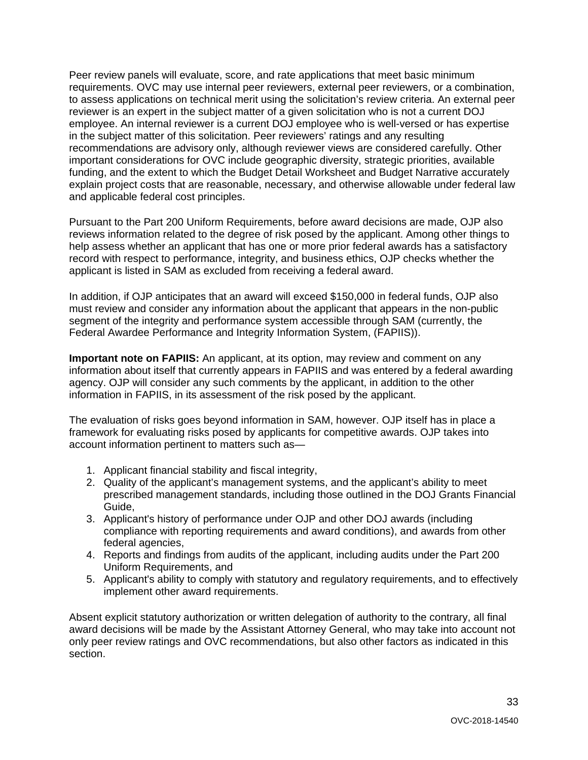Peer review panels will evaluate, score, and rate applications that meet basic minimum requirements. OVC may use internal peer reviewers, external peer reviewers, or a combination, to assess applications on technical merit using the solicitation's review criteria. An external peer reviewer is an expert in the subject matter of a given solicitation who is not a current DOJ employee. An internal reviewer is a current DOJ employee who is well-versed or has expertise in the subject matter of this solicitation. Peer reviewers' ratings and any resulting recommendations are advisory only, although reviewer views are considered carefully. Other important considerations for OVC include geographic diversity, strategic priorities, available funding, and the extent to which the Budget Detail Worksheet and Budget Narrative accurately explain project costs that are reasonable, necessary, and otherwise allowable under federal law and applicable federal cost principles.

Pursuant to the Part 200 Uniform Requirements, before award decisions are made, OJP also reviews information related to the degree of risk posed by the applicant. Among other things to help assess whether an applicant that has one or more prior federal awards has a satisfactory record with respect to performance, integrity, and business ethics, OJP checks whether the applicant is listed in SAM as excluded from receiving a federal award.

 Federal Awardee Performance and Integrity Information System, (FAPIIS)). In addition, if OJP anticipates that an award will exceed \$150,000 in federal funds, OJP also must review and consider any information about the applicant that appears in the non-public segment of the integrity and performance system accessible through SAM (currently, the

**Important note on FAPIIS:** An applicant, at its option, may review and comment on any information about itself that currently appears in FAPIIS and was entered by a federal awarding agency. OJP will consider any such comments by the applicant, in addition to the other information in FAPIIS, in its assessment of the risk posed by the applicant.

The evaluation of risks goes beyond information in SAM, however. OJP itself has in place a framework for evaluating risks posed by applicants for competitive awards. OJP takes into account information pertinent to matters such as—

- 1. Applicant financial stability and fiscal integrity,
- 2. Quality of the applicant's management systems, and the applicant's ability to meet prescribed management standards, including those outlined in the DOJ Grants Financial Guide,
- 3. Applicant's history of performance under OJP and other DOJ awards (including compliance with reporting requirements and award conditions), and awards from other federal agencies,
- 4. Reports and findings from audits of the applicant, including audits under the Part 200 Uniform Requirements, and
- 5. Applicant's ability to comply with statutory and regulatory requirements, and to effectively implement other award requirements.

 only peer review ratings and OVC recommendations, but also other factors as indicated in this Absent explicit statutory authorization or written delegation of authority to the contrary, all final award decisions will be made by the Assistant Attorney General, who may take into account not section.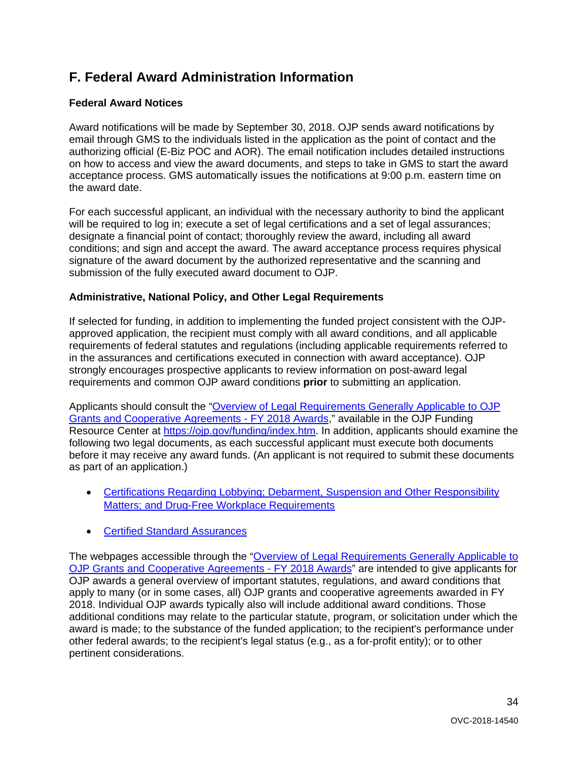### <span id="page-33-0"></span>**F. Federal Award Administration Information**

#### <span id="page-33-1"></span>**Federal Award Notices**

Award notifications will be made by September 30, 2018. OJP sends award notifications by email through GMS to the individuals listed in the application as the point of contact and the authorizing official (E-Biz POC and AOR). The email notification includes detailed instructions on how to access and view the award documents, and steps to take in GMS to start the award acceptance process. GMS automatically issues the notifications at 9:00 p.m. eastern time on the award date.

 conditions; and sign and accept the award. The award acceptance process requires physical submission of the fully executed award document to OJP. For each successful applicant, an individual with the necessary authority to bind the applicant will be required to log in; execute a set of legal certifications and a set of legal assurances; designate a financial point of contact; thoroughly review the award, including all award signature of the award document by the authorized representative and the scanning and

#### <span id="page-33-2"></span>**Administrative, National Policy, and Other Legal Requirements**

If selected for funding, in addition to implementing the funded project consistent with the OJPapproved application, the recipient must comply with all award conditions, and all applicable requirements of federal statutes and regulations (including applicable requirements referred to in the assurances and certifications executed in connection with award acceptance). OJP strongly encourages prospective applicants to review information on post-award legal requirements and common OJP award conditions **prior** to submitting an application.

[Grants and Cooperative Agreements -](https://ojp.gov/funding/Explore/LegalOverview/index.htm) FY 2018 Awards," available in the OJP Funding Applicants should consult the ["Overview of Legal Requirements Generally Applicable to OJP](https://ojp.gov/funding/Explore/LegalOverview/index.htm)  Resource Center at [https://ojp.gov/funding/index.htm.](https://ojp.gov/funding/index.htm) In addition, applicants should examine the following two legal documents, as each successful applicant must execute both documents before it may receive any award funds. (An applicant is not required to submit these documents as part of an application.)

- **Matters; and Drug-Free Workplace Requirements** • [Certifications Regarding Lobbying; Debarment, Suspension and Other Responsibility](https://ojp.gov/funding/Apply/Resources/Certifications.pdf)
- Certified Standard Assurances

The webpages accessible through the "Overview of Legal Requirements Generally Applicable to [OJP Grants and Cooperative Agreements -](https://ojp.gov/funding/Explore/LegalOverview/index.htm) FY 2018 Awards" are intended to give applicants for OJP awards a general overview of important statutes, regulations, and award conditions that apply to many (or in some cases, all) OJP grants and cooperative agreements awarded in FY 2018. Individual OJP awards typically also will include additional award conditions. Those additional conditions may relate to the particular statute, program, or solicitation under which the award is made; to the substance of the funded application; to the recipient's performance under other federal awards; to the recipient's legal status (e.g., as a for-profit entity); or to other pertinent considerations.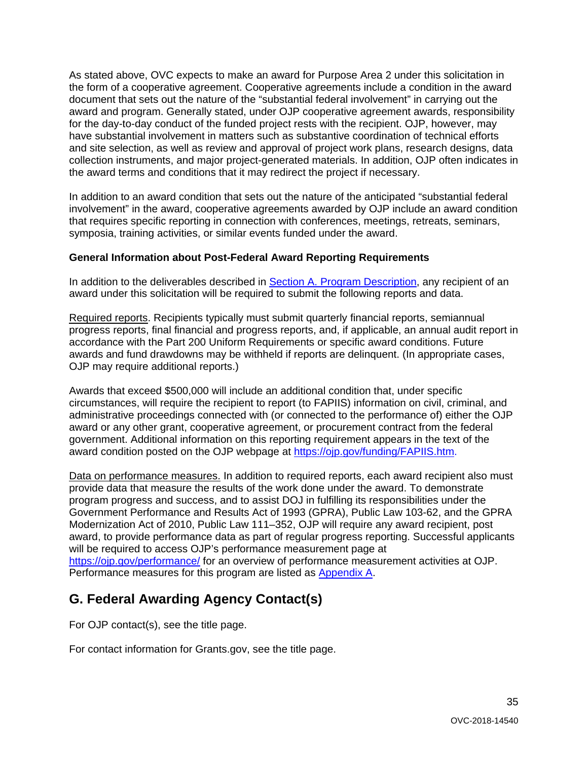As stated above, OVC expects to make an award for Purpose Area 2 under this solicitation in the form of a cooperative agreement. Cooperative agreements include a condition in the award document that sets out the nature of the "substantial federal involvement" in carrying out the award and program. Generally stated, under OJP cooperative agreement awards, responsibility for the day-to-day conduct of the funded project rests with the recipient. OJP, however, may have substantial involvement in matters such as substantive coordination of technical efforts and site selection, as well as review and approval of project work plans, research designs, data collection instruments, and major project-generated materials. In addition, OJP often indicates in the award terms and conditions that it may redirect the project if necessary.

 In addition to an award condition that sets out the nature of the anticipated "substantial federal involvement" in the award, cooperative agreements awarded by OJP include an award condition that requires specific reporting in connection with conferences, meetings, retreats, seminars, symposia, training activities, or similar events funded under the award.

#### <span id="page-34-0"></span>**General Information about Post-Federal Award Reporting Requirements**

In addition to the deliverables described in [Section A. Program Description,](#page-4-0) any recipient of an award under this solicitation will be required to submit the following reports and data.

Required reports. Recipients typically must submit quarterly financial reports, semiannual progress reports, final financial and progress reports, and, if applicable, an annual audit report in accordance with the Part 200 Uniform Requirements or specific award conditions. Future awards and fund drawdowns may be withheld if reports are delinquent. (In appropriate cases, OJP may require additional reports.)

Awards that exceed \$500,000 will include an additional condition that, under specific circumstances, will require the recipient to report (to FAPIIS) information on civil, criminal, and administrative proceedings connected with (or connected to the performance of) either the OJP award or any other grant, cooperative agreement, or procurement contract from the federal government. Additional information on this reporting requirement appears in the text of the award condition posted on the OJP webpage at [https://ojp.gov/funding/FAPIIS.htm.](https://ojp.gov/funding/FAPIIS.htm)

 award, to provide performance data as part of regular progress reporting. Successful applicants Data on performance measures. In addition to required reports, each award recipient also must provide data that measure the results of the work done under the award. To demonstrate program progress and success, and to assist DOJ in fulfilling its responsibilities under the Government Performance and Results Act of 1993 (GPRA), Public Law 103-62, and the GPRA Modernization Act of 2010, Public Law 111–352, OJP will require any award recipient, post will be required to access OJP's performance measurement page at <https://ojp.gov/performance/>for an overview of performance measurement activities at OJP. Performance measures for this program are listed as [Appendix A.](#page-36-0)

### <span id="page-34-1"></span>**G. Federal Awarding Agency Contact(s)**

For OJP contact(s), see the title page.

For contact information for Grants.gov, see the title page.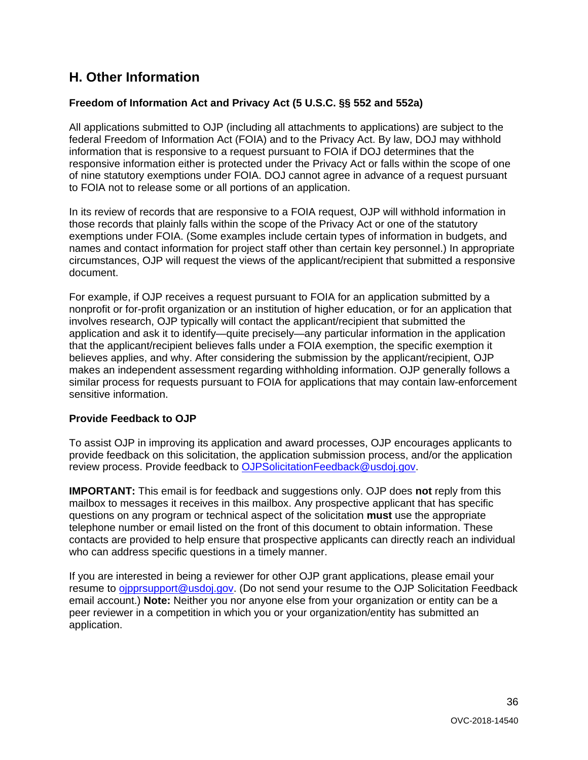### <span id="page-35-0"></span>**H. Other Information**

#### <span id="page-35-1"></span>**Freedom of Information Act and Privacy Act (5 U.S.C. §§ 552 and 552a)**

 responsive information either is protected under the Privacy Act or falls within the scope of one All applications submitted to OJP (including all attachments to applications) are subject to the federal Freedom of Information Act (FOIA) and to the Privacy Act. By law, DOJ may withhold information that is responsive to a request pursuant to FOIA if DOJ determines that the of nine statutory exemptions under FOIA. DOJ cannot agree in advance of a request pursuant to FOIA not to release some or all portions of an application.

In its review of records that are responsive to a FOIA request, OJP will withhold information in those records that plainly falls within the scope of the Privacy Act or one of the statutory exemptions under FOIA. (Some examples include certain types of information in budgets, and names and contact information for project staff other than certain key personnel.) In appropriate circumstances, OJP will request the views of the applicant/recipient that submitted a responsive document.

 that the applicant/recipient believes falls under a FOIA exemption, the specific exemption it For example, if OJP receives a request pursuant to FOIA for an application submitted by a nonprofit or for-profit organization or an institution of higher education, or for an application that involves research, OJP typically will contact the applicant/recipient that submitted the application and ask it to identify—quite precisely—any particular information in the application believes applies, and why. After considering the submission by the applicant/recipient, OJP makes an independent assessment regarding withholding information. OJP generally follows a similar process for requests pursuant to FOIA for applications that may contain law-enforcement sensitive information.

#### <span id="page-35-2"></span>**Provide Feedback to OJP**

To assist OJP in improving its application and award processes, OJP encourages applicants to provide feedback on this solicitation, the application submission process, and/or the application review process. Provide feedback to [OJPSolicitationFeedback@usdoj.gov.](mailto:OJPSolicitationFeedback@usdoj.gov)

 **IMPORTANT:** This email is for feedback and suggestions only. OJP does **not** reply from this questions on any program or technical aspect of the solicitation **must** use the appropriate mailbox to messages it receives in this mailbox. Any prospective applicant that has specific telephone number or email listed on the front of this document to obtain information. These contacts are provided to help ensure that prospective applicants can directly reach an individual who can address specific questions in a timely manner.

 email account.) **Note:** Neither you nor anyone else from your organization or entity can be a peer reviewer in a competition in which you or your organization/entity has submitted an If you are interested in being a reviewer for other OJP grant applications, please email your resume to [ojpprsupport@usdoj.gov.](mailto:ojpprsupport@usdoj.gov) (Do not send your resume to the OJP Solicitation Feedback application.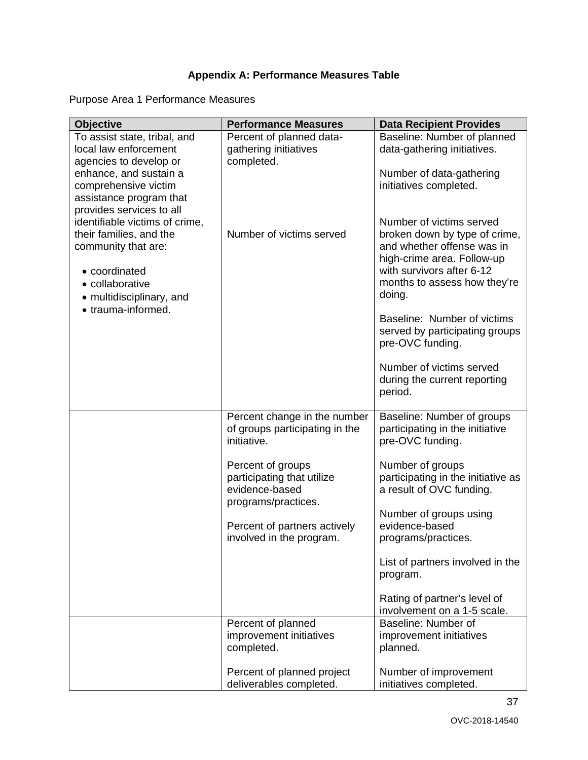### **Appendix A: Performance Measures Table**

<span id="page-36-0"></span>Purpose Area 1 Performance Measures

| <b>Objective</b>               | <b>Performance Measures</b>                           | <b>Data Recipient Provides</b>                                 |
|--------------------------------|-------------------------------------------------------|----------------------------------------------------------------|
| To assist state, tribal, and   | Percent of planned data-                              | Baseline: Number of planned                                    |
| local law enforcement          | gathering initiatives                                 | data-gathering initiatives.                                    |
| agencies to develop or         | completed.                                            |                                                                |
| enhance, and sustain a         |                                                       | Number of data-gathering                                       |
| comprehensive victim           |                                                       | initiatives completed.                                         |
| assistance program that        |                                                       |                                                                |
| provides services to all       |                                                       |                                                                |
| identifiable victims of crime, |                                                       | Number of victims served                                       |
| their families, and the        | Number of victims served                              | broken down by type of crime,                                  |
| community that are:            |                                                       | and whether offense was in                                     |
|                                |                                                       | high-crime area. Follow-up                                     |
| • coordinated                  |                                                       | with survivors after 6-12                                      |
| • collaborative                |                                                       | months to assess how they're                                   |
| • multidisciplinary, and       |                                                       | doing.                                                         |
| • trauma-informed.             |                                                       | Baseline: Number of victims                                    |
|                                |                                                       | served by participating groups                                 |
|                                |                                                       | pre-OVC funding.                                               |
|                                |                                                       |                                                                |
|                                |                                                       | Number of victims served                                       |
|                                |                                                       | during the current reporting<br>period.                        |
|                                |                                                       |                                                                |
|                                | Percent change in the number                          | Baseline: Number of groups                                     |
|                                | of groups participating in the                        | participating in the initiative                                |
|                                | initiative.                                           | pre-OVC funding.                                               |
|                                |                                                       |                                                                |
|                                | Percent of groups                                     | Number of groups                                               |
|                                | participating that utilize<br>evidence-based          | participating in the initiative as<br>a result of OVC funding. |
|                                | programs/practices.                                   |                                                                |
|                                |                                                       | Number of groups using                                         |
|                                | Percent of partners actively                          | evidence-based                                                 |
|                                | involved in the program.                              | programs/practices.                                            |
|                                |                                                       |                                                                |
|                                |                                                       | List of partners involved in the                               |
|                                |                                                       | program.                                                       |
|                                |                                                       | Rating of partner's level of                                   |
|                                |                                                       | involvement on a 1-5 scale.                                    |
|                                | Percent of planned                                    | Baseline: Number of                                            |
|                                | improvement initiatives                               | improvement initiatives                                        |
|                                | completed.                                            | planned.                                                       |
|                                |                                                       |                                                                |
|                                | Percent of planned project<br>deliverables completed. | Number of improvement<br>initiatives completed.                |
|                                |                                                       |                                                                |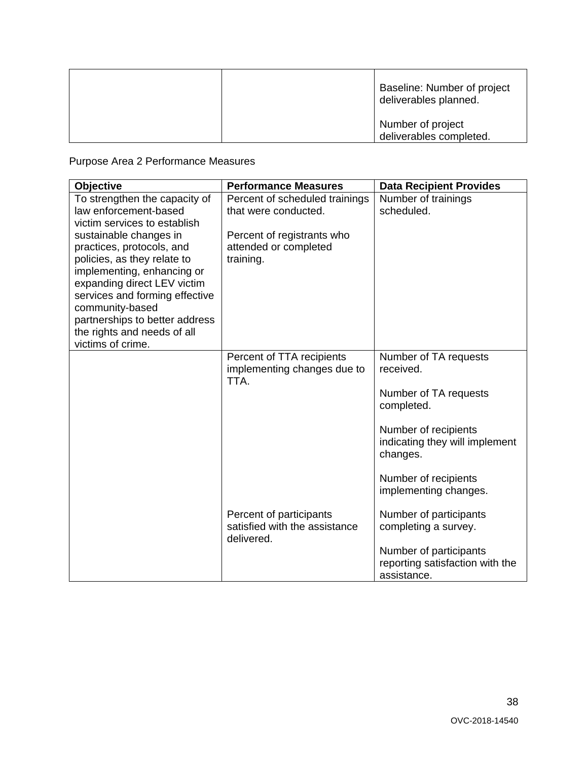|  | Baseline: Number of project<br>deliverables planned. |
|--|------------------------------------------------------|
|  | Number of project<br>deliverables completed.         |

Purpose Area 2 Performance Measures

| Objective                                                                                                                                                                                                                                                                                  | <b>Performance Measures</b>                                            | <b>Data Recipient Provides</b>                                           |
|--------------------------------------------------------------------------------------------------------------------------------------------------------------------------------------------------------------------------------------------------------------------------------------------|------------------------------------------------------------------------|--------------------------------------------------------------------------|
| To strengthen the capacity of<br>law enforcement-based<br>victim services to establish                                                                                                                                                                                                     | Percent of scheduled trainings<br>that were conducted.                 | Number of trainings<br>scheduled.                                        |
| sustainable changes in<br>practices, protocols, and<br>policies, as they relate to<br>implementing, enhancing or<br>expanding direct LEV victim<br>services and forming effective<br>community-based<br>partnerships to better address<br>the rights and needs of all<br>victims of crime. | Percent of registrants who<br>attended or completed<br>training.       |                                                                          |
|                                                                                                                                                                                                                                                                                            | Percent of TTA recipients<br>implementing changes due to<br>TTA.       | Number of TA requests<br>received.                                       |
|                                                                                                                                                                                                                                                                                            |                                                                        | Number of TA requests<br>completed.                                      |
|                                                                                                                                                                                                                                                                                            |                                                                        | Number of recipients<br>indicating they will implement<br>changes.       |
|                                                                                                                                                                                                                                                                                            |                                                                        | Number of recipients<br>implementing changes.                            |
|                                                                                                                                                                                                                                                                                            | Percent of participants<br>satisfied with the assistance<br>delivered. | Number of participants<br>completing a survey.                           |
|                                                                                                                                                                                                                                                                                            |                                                                        | Number of participants<br>reporting satisfaction with the<br>assistance. |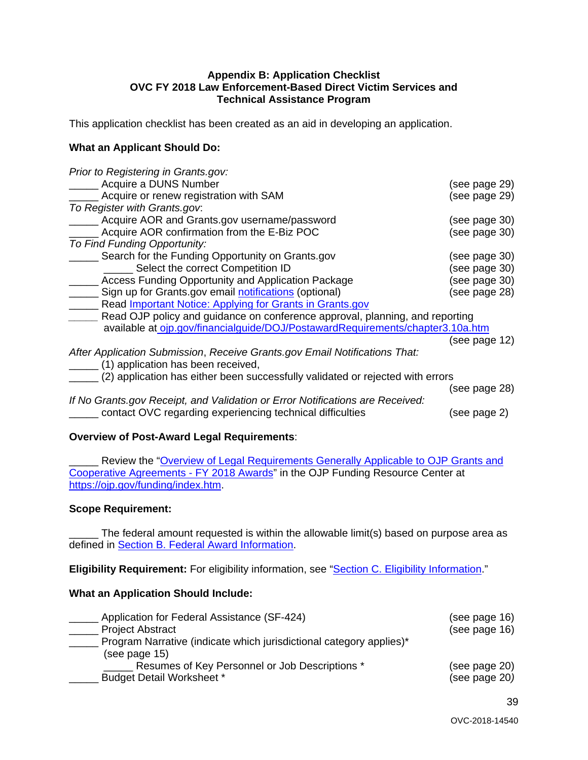## **OVC FY 2018 Law Enforcement-Based Direct Victim Services and Technical Assistance Program Appendix B: Application Checklist**

<span id="page-38-0"></span>This application checklist has been created as an aid in developing an application.

#### **What an Applicant Should Do:**

| Prior to Registering in Grants.gov:                                            |               |
|--------------------------------------------------------------------------------|---------------|
| Acquire a DUNS Number                                                          | (see page 29) |
| Acquire or renew registration with SAM                                         | (see page 29) |
| To Register with Grants.gov.                                                   |               |
| Acquire AOR and Grants.gov username/password                                   | (see page 30) |
| Acquire AOR confirmation from the E-Biz POC                                    | (see page 30) |
| To Find Funding Opportunity:                                                   |               |
| Search for the Funding Opportunity on Grants.gov                               | (see page 30) |
| Select the correct Competition ID                                              | (see page 30) |
| <b>Access Funding Opportunity and Application Package</b>                      | (see page 30) |
| Sign up for Grants.gov email notifications (optional)                          | (see page 28) |
| Read Important Notice: Applying for Grants in Grants.gov                       |               |
| Read OJP policy and guidance on conference approval, planning, and reporting   |               |
| available at ojp.gov/financialguide/DOJ/PostawardRequirements/chapter3.10a.htm |               |
|                                                                                | (see page 12) |
| After Application Submission, Receive Grants.gov Email Notifications That:     |               |
| (1) application has been received,                                             |               |
| (2) application has either been successfully validated or rejected with errors |               |
|                                                                                | (see page 28) |
| If No Grants.gov Receipt, and Validation or Error Notifications are Received:  |               |
| contact OVC regarding experiencing technical difficulties                      | (see page 2)  |
|                                                                                |               |

#### **Overview of Post-Award Legal Requirements**:

**EXECTE:** Review the "Overview of Legal Requirements Generally Applicable to OJP Grants and [Cooperative Agreements -](https://ojp.gov/funding/Explore/LegalOverview/index.htm) FY 2018 Awards" in the OJP Funding Resource Center at [https://ojp.gov/funding/index.htm.](https://ojp.gov/funding/index.htm)

#### **Scope Requirement:**

The federal amount requested is within the allowable limit(s) based on purpose area as defined in [Section B. Federal Award Information.](#page-9-2)

**Eligibility Requirement:** For eligibility information, see ["Section C. Eligibility Information.](#page-13-0)"

#### **What an Application Should Include:**

| Application for Federal Assistance (SF-424)                                          | (see page 16) |
|--------------------------------------------------------------------------------------|---------------|
| <b>Project Abstract</b>                                                              | (see page 16) |
| Program Narrative (indicate which jurisdictional category applies)*<br>(see page 15) |               |
| Resumes of Key Personnel or Job Descriptions *                                       | (see page 20) |
| <b>Budget Detail Worksheet *</b>                                                     | (see page 20) |

39